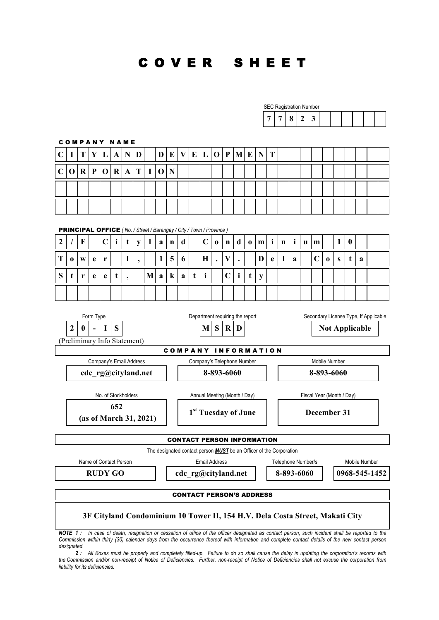# C O V E R S H E E T

|                  |                                                                                                                                                |         |                |             |                        |                     |                              |   |             |   |                                 |   |                                 |             |                    |              |          |   |                                                                            |             |              | <b>SEC Registration Number</b> |                                                                              |          |              |                       |               |  |
|------------------|------------------------------------------------------------------------------------------------------------------------------------------------|---------|----------------|-------------|------------------------|---------------------|------------------------------|---|-------------|---|---------------------------------|---|---------------------------------|-------------|--------------------|--------------|----------|---|----------------------------------------------------------------------------|-------------|--------------|--------------------------------|------------------------------------------------------------------------------|----------|--------------|-----------------------|---------------|--|
|                  |                                                                                                                                                |         |                |             |                        |                     |                              |   |             |   |                                 |   |                                 |             |                    |              |          |   | 7                                                                          | 7           | 8            | $\boldsymbol{2}$               | $\mathbf{3}$                                                                 |          |              |                       |               |  |
|                  |                                                                                                                                                |         |                |             |                        |                     |                              |   |             |   |                                 |   |                                 |             |                    |              |          |   |                                                                            |             |              |                                |                                                                              |          |              |                       |               |  |
|                  |                                                                                                                                                |         |                |             |                        | <b>COMPANY NAME</b> |                              |   |             |   |                                 |   |                                 |             |                    |              |          |   |                                                                            |             |              |                                |                                                                              |          |              |                       |               |  |
| $\mathbf C$      | 1                                                                                                                                              | T       | Y              | L           | A                      | N                   | D                            |   | D           | E | $\mathbf{V}$                    | E | L                               | $\mathbf 0$ | $\mathbf{P}$       | M E          |          | N | T                                                                          |             |              |                                |                                                                              |          |              |                       |               |  |
| $\mathbf C$      | $\mathbf 0$                                                                                                                                    | $\bf R$ | ${\bf P}$      | $\mathbf 0$ | $\bf R$                | A                   | T                            | I | $\mathbf 0$ | N |                                 |   |                                 |             |                    |              |          |   |                                                                            |             |              |                                |                                                                              |          |              |                       |               |  |
|                  |                                                                                                                                                |         |                |             |                        |                     |                              |   |             |   |                                 |   |                                 |             |                    |              |          |   |                                                                            |             |              |                                |                                                                              |          |              |                       |               |  |
|                  |                                                                                                                                                |         |                |             |                        |                     |                              |   |             |   |                                 |   |                                 |             |                    |              |          |   |                                                                            |             |              |                                |                                                                              |          |              |                       |               |  |
|                  |                                                                                                                                                |         |                |             |                        |                     |                              |   |             |   |                                 |   |                                 |             |                    |              |          |   |                                                                            |             |              |                                |                                                                              |          |              |                       |               |  |
|                  | <b>PRINCIPAL OFFICE</b> (No. / Street / Barangay / City / Town / Province)                                                                     |         |                |             |                        |                     |                              |   |             |   |                                 |   |                                 |             |                    |              |          |   |                                                                            |             |              |                                |                                                                              |          |              |                       |               |  |
| $\boldsymbol{2}$ |                                                                                                                                                | F       |                | $\mathbf C$ | $\mathbf{i}$           | t                   | y                            | 1 | a           | n | $\mathbf d$                     |   | $\mathbf C$                     | $\bf{0}$    | n                  | d            | $\bf{0}$ | m | $\mathbf{i}$                                                               | $\mathbf n$ | $\mathbf{i}$ | u                              | $\mathbf{m}$                                                                 |          | $\mathbf{1}$ | $\boldsymbol{0}$      |               |  |
| T                | $\bf{0}$                                                                                                                                       | W       | e              | r           |                        | I                   | $\overline{\phantom{a}}$     |   | 1           | 5 | 6                               |   | $\mathbf H$                     | $\cdot$     | $\bar{\mathbf{V}}$ |              |          | D | $\mathbf e$                                                                | -1          | a            |                                | $\mathbf C$                                                                  | $\bf{0}$ | S            | t                     | a             |  |
| S                | t                                                                                                                                              | r       | e              | e           | t                      | ,                   |                              | M | a           | k | a                               | t | i                               |             | $\mathbf C$        | $\mathbf{i}$ | t        | y |                                                                            |             |              |                                |                                                                              |          |              |                       |               |  |
|                  |                                                                                                                                                |         |                |             |                        |                     |                              |   |             |   |                                 |   |                                 |             |                    |              |          |   |                                                                            |             |              |                                |                                                                              |          |              |                       |               |  |
|                  |                                                                                                                                                |         |                |             |                        |                     |                              |   |             |   |                                 |   |                                 |             |                    |              |          |   |                                                                            |             |              |                                |                                                                              |          |              |                       |               |  |
|                  | Department requiring the report<br>Secondary License Type, If Applicable<br>Form Type                                                          |         |                |             |                        |                     |                              |   |             |   |                                 |   |                                 |             |                    |              |          |   |                                                                            |             |              |                                |                                                                              |          |              |                       |               |  |
|                  | 2                                                                                                                                              | 0       | $\blacksquare$ | I           | S                      |                     |                              |   |             |   |                                 |   | M                               | S           | $\bf R$            | D            |          |   |                                                                            |             |              |                                |                                                                              |          |              | <b>Not Applicable</b> |               |  |
|                  |                                                                                                                                                |         |                |             |                        |                     | (Preliminary Info Statement) |   |             |   |                                 |   |                                 |             |                    |              |          |   |                                                                            |             |              |                                |                                                                              |          |              |                       |               |  |
|                  |                                                                                                                                                |         |                |             |                        |                     | Company's Email Address      |   |             |   |                                 |   | Company's Telephone Number      |             |                    |              |          |   | <b>COMPANY INFORMATION</b>                                                 |             |              |                                | Mobile Number                                                                |          |              |                       |               |  |
|                  |                                                                                                                                                |         |                |             |                        |                     | cdc_rg@cityland.net          |   |             |   |                                 |   |                                 | 8-893-6060  |                    |              |          |   |                                                                            |             |              |                                | 8-893-6060                                                                   |          |              |                       |               |  |
|                  |                                                                                                                                                |         |                |             |                        |                     |                              |   |             |   |                                 |   |                                 |             |                    |              |          |   |                                                                            |             |              |                                |                                                                              |          |              |                       |               |  |
|                  |                                                                                                                                                |         |                |             |                        | No. of Stockholders |                              |   |             |   |                                 |   | Annual Meeting (Month / Day)    |             |                    |              |          |   |                                                                            |             |              |                                | Fiscal Year (Month / Day)                                                    |          |              |                       |               |  |
|                  |                                                                                                                                                |         |                |             | 652                    |                     |                              |   |             |   |                                 |   | 1 <sup>st</sup> Tuesday of June |             |                    |              |          |   |                                                                            |             |              |                                | December 31                                                                  |          |              |                       |               |  |
|                  |                                                                                                                                                |         |                |             |                        |                     | (as of March 31, 2021)       |   |             |   |                                 |   |                                 |             |                    |              |          |   |                                                                            |             |              |                                |                                                                              |          |              |                       |               |  |
|                  |                                                                                                                                                |         |                |             |                        |                     |                              |   |             |   |                                 |   |                                 |             |                    |              |          |   | <b>CONTACT PERSON INFORMATION</b>                                          |             |              |                                |                                                                              |          |              |                       |               |  |
|                  |                                                                                                                                                |         |                |             |                        |                     |                              |   |             |   |                                 |   |                                 |             |                    |              |          |   | The designated contact person <b>MUST</b> be an Officer of the Corporation |             |              |                                |                                                                              |          |              |                       |               |  |
|                  |                                                                                                                                                |         |                |             | Name of Contact Person |                     |                              |   |             |   |                                 |   | <b>Email Address</b>            |             |                    |              |          |   |                                                                            |             |              | Telephone Number/s             |                                                                              |          |              |                       | Mobile Number |  |
|                  |                                                                                                                                                |         |                |             | <b>RUDY GO</b>         |                     |                              |   |             |   | cdc rg@cityland.net             |   |                                 |             |                    |              |          |   |                                                                            |             |              | 8-893-6060                     |                                                                              |          |              | 0968-545-1452         |               |  |
|                  |                                                                                                                                                |         |                |             |                        |                     |                              |   |             |   | <b>CONTACT PERSON'S ADDRESS</b> |   |                                 |             |                    |              |          |   |                                                                            |             |              |                                |                                                                              |          |              |                       |               |  |
|                  |                                                                                                                                                |         |                |             |                        |                     |                              |   |             |   |                                 |   |                                 |             |                    |              |          |   |                                                                            |             |              |                                | 3F Cityland Condominium 10 Tower II, 154 H.V. Dela Costa Street, Makati City |          |              |                       |               |  |
|                  |                                                                                                                                                |         |                |             |                        |                     |                              |   |             |   |                                 |   |                                 |             |                    |              |          |   |                                                                            |             |              |                                |                                                                              |          |              |                       |               |  |
|                  | NOTE 1: In case of death resignation or cessation of office of the officer designated as contact person such incident shall be reported to the |         |                |             |                        |                     |                              |   |             |   |                                 |   |                                 |             |                    |              |          |   |                                                                            |             |              |                                |                                                                              |          |              |                       |               |  |

*NOTE 1 : In case of death, resignation or cessation of office of the officer designated as contact person, such incident shall be reported to the Commission within thirty (30) calendar days from the occurrence thereof with information and complete contact details of the new contact person designated.*

*2 : All Boxes must be properly and completely filled-up. Failure to do so shall cause the delay in updating the corporation's records with the Commission and/or non-receipt of Notice of Deficiencies. Further, non-receipt of Notice of Deficiencies shall not excuse the corporation from liability for its deficiencies.*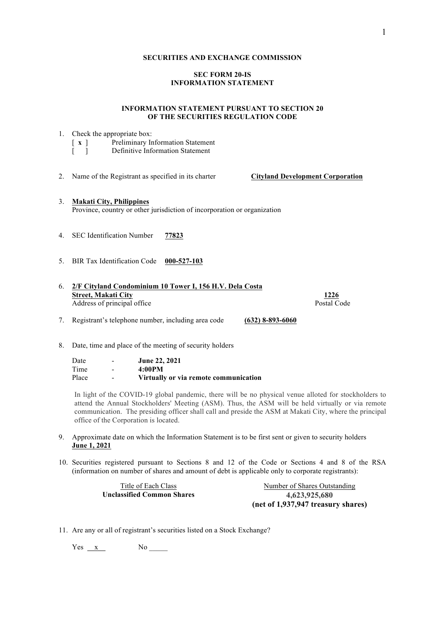#### **SECURITIES AND EXCHANGE COMMISSION**

# **SEC FORM 20-IS INFORMATION STATEMENT**

# **INFORMATION STATEMENT PURSUANT TO SECTION 20 OF THE SECURITIES REGULATION CODE**

|         | 1. Check the appropriate box:<br>[ x ] Preliminary Information Statement<br>[ ] Definitive Information Statement                             |
|---------|----------------------------------------------------------------------------------------------------------------------------------------------|
| 2.      | Name of the Registrant as specified in its charter<br><b>Cityland Development Corporation</b>                                                |
| 3.      | <b>Makati City, Philippines</b><br>Province, country or other jurisdiction of incorporation or organization                                  |
| 4.      | <b>SEC</b> Identification Number<br>77823                                                                                                    |
| $5_{-}$ | <b>BIR</b> Tax Identification Code<br>000-527-103                                                                                            |
| 6.      | 2/F Cityland Condominium 10 Tower I, 156 H.V. Dela Costa<br>1226<br><b>Street, Makati City</b><br>Postal Code<br>Address of principal office |
|         | 7. Registrant's telephone number, including area code<br>$(632)$ 8-893-6060                                                                  |

8. Date, time and place of the meeting of security holders

Date - **June 22, 2021**<br>Time - **4:00PM**  $- 4:00PM$ Place - **Virtually or via remote communication** 

In light of the COVID-19 global pandemic, there will be no physical venue alloted for stockholders to attend the Annual Stockholders' Meeting (ASM). Thus, the ASM will be held virtually or via remote communication. The presiding officer shall call and preside the ASM at Makati City, where the principal office of the Corporation is located.

- 9. Approximate date on which the Information Statement is to be first sent or given to security holders **June 1, 2021**
- 10. Securities registered pursuant to Sections 8 and 12 of the Code or Sections 4 and 8 of the RSA (information on number of shares and amount of debt is applicable only to corporate registrants):

| Title of Each Class        | Number of Shares Outstanding       |
|----------------------------|------------------------------------|
| Unclassified Common Shares | 4.623.925.680                      |
|                            | (net of 1,937,947 treasury shares) |

11. Are any or all of registrant's securities listed on a Stock Exchange?

 $Yes \_ x \_ No \_ No \_$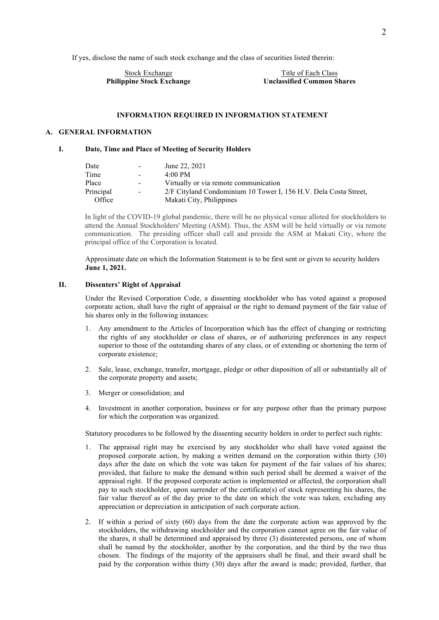If yes, disclose the name of such stock exchange and the class of securities listed therein:

Stock Exchange Title of Each Class

**Philippine Stock Exchange Unclassified Common Shares**

#### **INFORMATION REQUIRED IN INFORMATION STATEMENT**

# **A. GENERAL INFORMATION**

# **I. Date, Time and Place of Meeting of Security Holders**

| Date      | $\blacksquare$           | June 22, 2021                                                    |
|-----------|--------------------------|------------------------------------------------------------------|
| Time      | $\overline{\phantom{0}}$ | $4.00 \text{ PM}$                                                |
| Place     | $\sim$                   | Virtually or via remote communication                            |
| Principal | $\sim$                   | 2/F Cityland Condominium 10 Tower I, 156 H.V. Dela Costa Street, |
| Office    |                          | Makati City, Philippines                                         |

In light of the COVID-19 global pandemic, there will be no physical venue alloted for stockholders to attend the Annual Stockholders' Meeting (ASM). Thus, the ASM will be held virtually or via remote communication. The presiding officer shall call and preside the ASM at Makati City, where the principal office of the Corporation is located.

Approximate date on which the Information Statement is to be first sent or given to security holders **June 1, 2021.**

#### **II. Dissenters' Right of Appraisal**

Under the Revised Corporation Code, a dissenting stockholder who has voted against a proposed corporate action, shall have the right of appraisal or the right to demand payment of the fair value of his shares only in the following instances:

- 1. Any amendment to the Articles of Incorporation which has the effect of changing or restricting the rights of any stockholder or class of shares, or of authorizing preferences in any respect superior to those of the outstanding shares of any class, or of extending or shortening the term of corporate existence;
- 2. Sale, lease, exchange, transfer, mortgage, pledge or other disposition of all or substantially all of the corporate property and assets;
- 3. Merger or consolidation; and
- 4. Investment in another corporation, business or for any purpose other than the primary purpose for which the corporation was organized.

Statutory procedures to be followed by the dissenting security holders in order to perfect such rights:

- 1. The appraisal right may be exercised by any stockholder who shall have voted against the proposed corporate action, by making a written demand on the corporation within thirty (30) days after the date on which the vote was taken for payment of the fair values of his shares; provided, that failure to make the demand within such period shall be deemed a waiver of the appraisal right. If the proposed corporate action is implemented or affected, the corporation shall pay to such stockholder, upon surrender of the certificate(s) of stock representing his shares, the fair value thereof as of the day prior to the date on which the vote was taken, excluding any appreciation or depreciation in anticipation of such corporate action.
- 2. If within a period of sixty (60) days from the date the corporate action was approved by the stockholders, the withdrawing stockholder and the corporation cannot agree on the fair value of the shares, it shall be determined and appraised by three (3) disinterested persons, one of whom shall be named by the stockholder, another by the corporation, and the third by the two thus chosen. The findings of the majority of the appraisers shall be final, and their award shall be paid by the corporation within thirty (30) days after the award is made; provided, further, that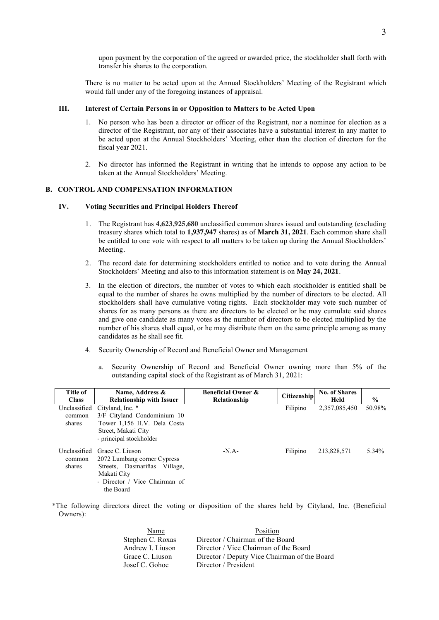upon payment by the corporation of the agreed or awarded price, the stockholder shall forth with transfer his shares to the corporation.

There is no matter to be acted upon at the Annual Stockholders' Meeting of the Registrant which would fall under any of the foregoing instances of appraisal.

# **III. Interest of Certain Persons in or Opposition to Matters to be Acted Upon**

- No person who has been a director or officer of the Registrant, nor a nominee for election as a director of the Registrant, nor any of their associates have a substantial interest in any matter to be acted upon at the Annual Stockholders' Meeting, other than the election of directors for the fiscal year 2021.
- 2. No director has informed the Registrant in writing that he intends to oppose any action to be taken at the Annual Stockholders' Meeting.

# **B. CONTROL AND COMPENSATION INFORMATION**

#### **IV. Voting Securities and Principal Holders Thereof**

- 1. The Registrant has **4,623,925,680** unclassified common shares issued and outstanding (excluding treasury shares which total to **1,937,947** shares) as of **March 31, 2021**. Each common share shall be entitled to one vote with respect to all matters to be taken up during the Annual Stockholders' Meeting.
- 2. The record date for determining stockholders entitled to notice and to vote during the Annual Stockholders' Meeting and also to this information statement is on **May 24, 2021**.
- 3. In the election of directors, the number of votes to which each stockholder is entitled shall be equal to the number of shares he owns multiplied by the number of directors to be elected. All stockholders shall have cumulative voting rights. Each stockholder may vote such number of shares for as many persons as there are directors to be elected or he may cumulate said shares and give one candidate as many votes as the number of directors to be elected multiplied by the number of his shares shall equal, or he may distribute them on the same principle among as many candidates as he shall see fit.
- 4. Security Ownership of Record and Beneficial Owner and Management
	- a. Security Ownership of Record and Beneficial Owner owning more than 5% of the outstanding capital stock of the Registrant as of March 31, 2021:

| <b>Title of</b> | Name, Address &                 | <b>Beneficial Owner &amp;</b> | Citizenship | <b>No. of Shares</b> |               |
|-----------------|---------------------------------|-------------------------------|-------------|----------------------|---------------|
| <b>Class</b>    | <b>Relationship with Issuer</b> | Relationship                  |             | Held                 | $\frac{6}{6}$ |
| Unclassified    | Cityland, Inc. *                |                               | Filipino    | 2,357,085,450        | 50.98%        |
| common          | 3/F Cityland Condominium 10     |                               |             |                      |               |
| shares          | Tower 1,156 H.V. Dela Costa     |                               |             |                      |               |
|                 | Street, Makati City             |                               |             |                      |               |
|                 | - principal stockholder         |                               |             |                      |               |
| Unclassified    | Grace C. Liuson                 | $-N.A-$                       | Filipino    | 213,828,571          | 5.34%         |
| common          | 2072 Lumbang corner Cypress     |                               |             |                      |               |
| shares          | Streets, Dasmariñas Village,    |                               |             |                      |               |
|                 | Makati City                     |                               |             |                      |               |
|                 | - Director / Vice Chairman of   |                               |             |                      |               |
|                 | the Board                       |                               |             |                      |               |
|                 |                                 |                               |             |                      |               |

\*The following directors direct the voting or disposition of the shares held by Cityland, Inc. (Beneficial Owners):

| Name             | Position                                     |
|------------------|----------------------------------------------|
| Stephen C. Roxas | Director / Chairman of the Board             |
| Andrew I. Liuson | Director / Vice Chairman of the Board        |
| Grace C. Liuson  | Director / Deputy Vice Chairman of the Board |
| Josef C. Gohoc   | Director / President                         |
|                  |                                              |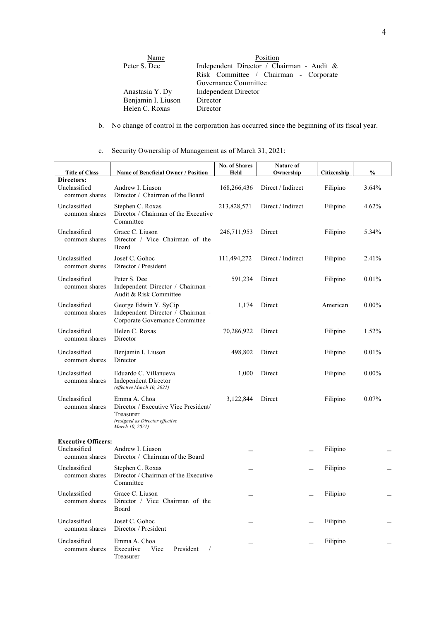| Name               | Position                                  |  |  |  |  |  |  |
|--------------------|-------------------------------------------|--|--|--|--|--|--|
| Peter S. Dee       | Independent Director / Chairman - Audit & |  |  |  |  |  |  |
|                    | Risk Committee / Chairman - Corporate     |  |  |  |  |  |  |
|                    | Governance Committee                      |  |  |  |  |  |  |
| Anastasia Y. Dy    | Independent Director                      |  |  |  |  |  |  |
| Benjamin I. Liuson | Director                                  |  |  |  |  |  |  |
| Helen C. Roxas     | Director                                  |  |  |  |  |  |  |

b. No change of control in the corporation has occurred since the beginning of its fiscal year.

c. Security Ownership of Management as of March 31, 2021:

|                                                             |                                                                                                                         | <b>No. of Shares</b> | Nature of         |             |               |
|-------------------------------------------------------------|-------------------------------------------------------------------------------------------------------------------------|----------------------|-------------------|-------------|---------------|
| <b>Title of Class</b>                                       | <b>Name of Beneficial Owner / Position</b>                                                                              | Held                 | Ownership         | Citizenship | $\frac{0}{0}$ |
| Directors:<br>Unclassified<br>common shares                 | Andrew I. Liuson<br>Director / Chairman of the Board                                                                    | 168,266,436          | Direct / Indirect | Filipino    | 3.64%         |
| Unclassified<br>common shares                               | Stephen C. Roxas<br>Director / Chairman of the Executive<br>Committee                                                   | 213,828,571          | Direct / Indirect | Filipino    | 4.62%         |
| Unclassified<br>common shares                               | Grace C. Liuson<br>Director / Vice Chairman of the<br>Board                                                             | 246,711,953          | Direct            | Filipino    | 5.34%         |
| Unclassified<br>common shares                               | Josef C. Gohoc<br>Director / President                                                                                  | 111,494,272          | Direct / Indirect | Filipino    | 2.41%         |
| Unclassified<br>common shares                               | Peter S. Dee<br>Independent Director / Chairman -<br>Audit & Risk Committee                                             | 591,234              | Direct            | Filipino    | 0.01%         |
| Unclassified<br>common shares                               | George Edwin Y. SyCip<br>Independent Director / Chairman -<br>Corporate Governance Committee                            | 1,174                | Direct            | American    | $0.00\%$      |
| Unclassified<br>common shares                               | Helen C. Roxas<br>Director                                                                                              | 70,286,922           | Direct            | Filipino    | 1.52%         |
| Unclassified<br>common shares                               | Benjamin I. Liuson<br>Director                                                                                          | 498,802              | Direct            | Filipino    | 0.01%         |
| Unclassified<br>common shares                               | Eduardo C. Villanueva<br><b>Independent Director</b><br>(effective March 10, 2021)                                      | 1,000                | Direct            | Filipino    | $0.00\%$      |
| Unclassified<br>common shares                               | Emma A. Choa<br>Director / Executive Vice President/<br>Treasurer<br>(resigned as Director effective<br>March 10, 2021) | 3,122,844            | Direct            | Filipino    | 0.07%         |
| <b>Executive Officers:</b><br>Unclassified<br>common shares | Andrew I. Liuson<br>Director / Chairman of the Board                                                                    |                      |                   | Filipino    |               |
| Unclassified<br>common shares                               | Stephen C. Roxas<br>Director / Chairman of the Executive<br>Committee                                                   |                      |                   | Filipino    |               |
| Unclassified<br>common shares                               | Grace C. Liuson<br>Director / Vice Chairman of the<br>Board                                                             |                      |                   | Filipino    |               |
| Unclassified<br>common shares                               | Josef C. Gohoc<br>Director / President                                                                                  |                      |                   | Filipino    |               |
| Unclassified<br>common shares                               | Emma A. Choa<br>Executive<br>Vice<br>President<br>$\sqrt{2}$<br>Treasurer                                               |                      |                   | Filipino    |               |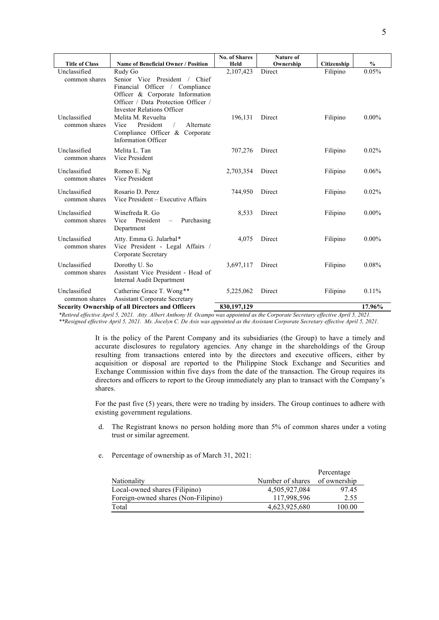|                               |                                                                   | <b>No. of Shares</b> | <b>Nature of</b> |             |                                                             |
|-------------------------------|-------------------------------------------------------------------|----------------------|------------------|-------------|-------------------------------------------------------------|
| <b>Title of Class</b>         | <b>Name of Beneficial Owner / Position</b>                        | Held                 | Ownership        | Citizenship | $\frac{6}{6}$                                               |
| Unclassified                  | Rudy Go                                                           | 2,107,423            | Direct           | Filipino    | 0.05%                                                       |
| common shares                 | Senior Vice President / Chief                                     |                      |                  |             |                                                             |
|                               | Financial Officer / Compliance                                    |                      |                  |             |                                                             |
|                               | Officer & Corporate Information                                   |                      |                  |             |                                                             |
|                               | Officer / Data Protection Officer /                               |                      |                  |             |                                                             |
|                               | <b>Investor Relations Officer</b>                                 |                      |                  |             |                                                             |
| Unclassified                  | Melita M. Revuelta                                                | 196,131              | Direct           | Filipino    | $0.00\%$                                                    |
| common shares                 | President<br>Vice<br>$\sqrt{2}$<br>Alternate                      |                      |                  |             |                                                             |
|                               | Compliance Officer & Corporate<br><b>Information Officer</b>      |                      |                  |             |                                                             |
|                               |                                                                   |                      |                  |             |                                                             |
| Unclassified<br>common shares | Melita L. Tan<br>Vice President                                   | 707,276              | Direct           | Filipino    | 0.02%                                                       |
|                               |                                                                   |                      |                  |             |                                                             |
| Unclassified                  | Romeo E. Ng                                                       | 2,703,354            | Direct           | Filipino    | 0.06%                                                       |
| common shares                 | Vice President                                                    |                      |                  |             |                                                             |
| Unclassified                  | Rosario D. Perez                                                  | 744,950              | Direct           | Filipino    | 0.02%                                                       |
| common shares                 | Vice President – Executive Affairs                                |                      |                  |             |                                                             |
|                               |                                                                   |                      |                  |             |                                                             |
| Unclassified<br>common shares | Winefreda R. Go<br>Vice President                                 | 8,533                | Direct           | Filipino    | $0.00\%$                                                    |
|                               | - Purchasing<br>Department                                        |                      |                  |             |                                                             |
| Unclassified                  |                                                                   |                      |                  |             |                                                             |
| common shares                 | Atty. Emma G. Jularbal*<br>Vice President - Legal Affairs /       | 4,075                | Direct           | Filipino    | $0.00\%$                                                    |
|                               | Corporate Secretary                                               |                      |                  |             |                                                             |
| Unclassified                  |                                                                   |                      | Direct           |             | 0.08%                                                       |
| common shares                 | Dorothy U. So<br>Assistant Vice President - Head of               | 3,697,117            |                  | Filipino    |                                                             |
|                               | <b>Internal Audit Department</b>                                  |                      |                  |             |                                                             |
| Unclassified                  |                                                                   |                      |                  |             |                                                             |
| common shares                 | Catherine Grace T. Wong**<br><b>Assistant Corporate Secretary</b> | 5,225,062            | Direct           | Filipino    | 0.11%                                                       |
|                               | <b>Security Ownership of all Directors and Officers</b>           | 830,197,129          |                  |             | 17.96%                                                      |
|                               |                                                                   |                      | $\sim$<br>$\sim$ | $\sim$      | $\overline{1}$ $\overline{2}$ $\overline{2}$ $\overline{2}$ |

*\*Retired effective April 5, 2021. Atty. Albert Anthony H. Ocampo was appointed as the Corporate Secretary effective April 5, 2021. \*\*Resigned effective April 5, 2021. Ms. Jocelyn C. De Asis was appointed as the Assistant Corporate Secretary effective April 5, 2021.*

> It is the policy of the Parent Company and its subsidiaries (the Group) to have a timely and accurate disclosures to regulatory agencies. Any change in the shareholdings of the Group resulting from transactions entered into by the directors and executive officers, either by acquisition or disposal are reported to the Philippine Stock Exchange and Securities and Exchange Commission within five days from the date of the transaction. The Group requires its directors and officers to report to the Group immediately any plan to transact with the Company's shares.

> For the past five (5) years, there were no trading by insiders. The Group continues to adhere with existing government regulations.

- d. The Registrant knows no person holding more than 5% of common shares under a voting trust or similar agreement.
- e. Percentage of ownership as of March 31, 2021:

|                                     |                  | Percentage   |
|-------------------------------------|------------------|--------------|
| <b>Nationality</b>                  | Number of shares | of ownership |
| Local-owned shares (Filipino)       | 4,505,927,084    | 97.45        |
| Foreign-owned shares (Non-Filipino) | 117,998,596      | 2.55         |
| Total                               | 4,623,925,680    | 100.00       |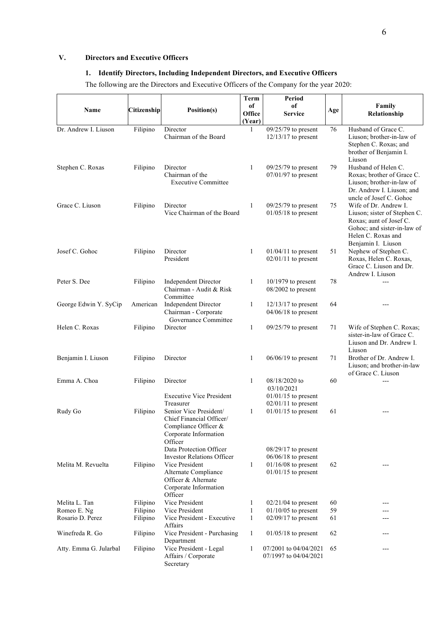# **V. Directors and Executive Officers**

# **1. Identify Directors, Including Independent Directors, and Executive Officers**

The following are the Directors and Executive Officers of the Company for the year 2020:

|                        |             |                                                        | <b>Term</b>  | Period                      |     |                                                       |
|------------------------|-------------|--------------------------------------------------------|--------------|-----------------------------|-----|-------------------------------------------------------|
|                        |             |                                                        | of           | of                          |     | Family                                                |
| Name                   | Citizenship | Position(s)                                            | Office       | <b>Service</b>              | Age | Relationship                                          |
|                        |             |                                                        | (Year)       |                             |     |                                                       |
| Dr. Andrew I. Liuson   | Filipino    | Director<br>Chairman of the Board                      | $\mathbf{1}$ | $09/25/79$ to present       | 76  | Husband of Grace C.                                   |
|                        |             |                                                        |              | $12/13/17$ to present       |     | Liuson; brother-in-law of<br>Stephen C. Roxas; and    |
|                        |             |                                                        |              |                             |     | brother of Benjamin I.                                |
|                        |             |                                                        |              |                             |     | Liuson                                                |
| Stephen C. Roxas       | Filipino    | Director                                               | $\mathbf{1}$ | $09/25/79$ to present       | 79  | Husband of Helen C.                                   |
|                        |             | Chairman of the                                        |              | $07/01/97$ to present       |     | Roxas; brother of Grace C.                            |
|                        |             | <b>Executive Committee</b>                             |              |                             |     | Liuson; brother-in-law of                             |
|                        |             |                                                        |              |                             |     | Dr. Andrew I. Liuson; and<br>uncle of Josef C. Gohoc  |
| Grace C. Liuson        | Filipino    | Director                                               | 1            | $09/25/79$ to present       | 75  | Wife of Dr. Andrew I.                                 |
|                        |             | Vice Chairman of the Board                             |              | $01/05/18$ to present       |     | Liuson; sister of Stephen C.                          |
|                        |             |                                                        |              |                             |     | Roxas; aunt of Josef C.                               |
|                        |             |                                                        |              |                             |     | Gohoc; and sister-in-law of                           |
|                        |             |                                                        |              |                             |     | Helen C. Roxas and<br>Benjamin I. Liuson              |
| Josef C. Gohoc         | Filipino    | Director                                               | 1            | $01/04/11$ to present       | 51  | Nephew of Stephen C.                                  |
|                        |             | President                                              |              | $02/01/11$ to present       |     | Roxas, Helen C. Roxas,                                |
|                        |             |                                                        |              |                             |     | Grace C. Liuson and Dr.                               |
|                        |             |                                                        |              |                             |     | Andrew I. Liuson                                      |
| Peter S. Dee           | Filipino    | <b>Independent Director</b><br>Chairman - Audit & Risk | $\mathbf{1}$ | $10/1979$ to present        | 78  |                                                       |
|                        |             | Committee                                              |              | $08/2002$ to present        |     |                                                       |
| George Edwin Y. SyCip  | American    | <b>Independent Director</b>                            | 1            | $12/13/17$ to present       | 64  |                                                       |
|                        |             | Chairman - Corporate                                   |              | $04/06/18$ to present       |     |                                                       |
|                        |             | Governance Committee                                   |              |                             |     |                                                       |
| Helen C. Roxas         | Filipino    | Director                                               | $\mathbf{1}$ | $09/25/79$ to present       | 71  | Wife of Stephen C. Roxas;                             |
|                        |             |                                                        |              |                             |     | sister-in-law of Grace C.<br>Liuson and Dr. Andrew I. |
|                        |             |                                                        |              |                             |     | Liuson                                                |
| Benjamin I. Liuson     | Filipino    | Director                                               | $\mathbf{1}$ | $06/06/19$ to present       | 71  | Brother of Dr. Andrew I.                              |
|                        |             |                                                        |              |                             |     | Liuson; and brother-in-law                            |
|                        |             |                                                        |              |                             |     | of Grace C. Liuson                                    |
| Emma A. Choa           | Filipino    | Director                                               | $\mathbf{1}$ | 08/18/2020 to<br>03/10/2021 | 60  | ---                                                   |
|                        |             | <b>Executive Vice President</b>                        |              | $01/01/15$ to present       |     |                                                       |
|                        |             | Treasurer                                              |              | $02/01/11$ to present       |     |                                                       |
| Rudy Go                | Filipino    | Senior Vice President/                                 | $\mathbf{1}$ | $01/01/15$ to present       | 61  | ---                                                   |
|                        |             | Chief Financial Officer/                               |              |                             |     |                                                       |
|                        |             | Compliance Officer &<br>Corporate Information          |              |                             |     |                                                       |
|                        |             | Officer                                                |              |                             |     |                                                       |
|                        |             | Data Protection Officer                                |              | $08/29/17$ to present       |     |                                                       |
|                        |             | <b>Investor Relations Officer</b>                      |              | $06/06/18$ to present       |     |                                                       |
| Melita M. Revuelta     | Filipino    | Vice President                                         | 1            | $01/16/08$ to present       | 62  | ---                                                   |
|                        |             | Alternate Compliance                                   |              | $01/01/15$ to present       |     |                                                       |
|                        |             | Officer & Alternate<br>Corporate Information           |              |                             |     |                                                       |
|                        |             | Officer                                                |              |                             |     |                                                       |
| Melita L. Tan          | Filipino    | Vice President                                         | 1            | $02/21/04$ to present       | 60  |                                                       |
| Romeo E. Ng            | Filipino    | Vice President                                         | $\mathbf{1}$ | $01/10/05$ to present       | 59  |                                                       |
| Rosario D. Perez       | Filipino    | Vice President - Executive                             | 1            | $02/09/17$ to present       | 61  |                                                       |
| Winefreda R. Go        | Filipino    | Affairs<br>Vice President - Purchasing                 | 1            | $01/05/18$ to present       | 62  | ---                                                   |
|                        |             | Department                                             |              |                             |     |                                                       |
| Atty. Emma G. Jularbal | Filipino    | Vice President - Legal                                 | $\mathbf{1}$ | 07/2001 to 04/04/2021       | 65  | ---                                                   |
|                        |             | Affairs / Corporate                                    |              | 07/1997 to 04/04/2021       |     |                                                       |
|                        |             | Secretary                                              |              |                             |     |                                                       |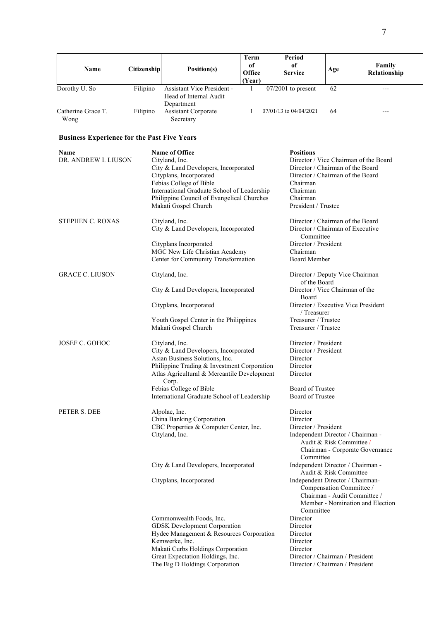|                                                    |                    |                                                                                                                                                                                                                                                                           | Term                   | <b>Period</b>                                                                                                                   |     |                                                                                                                                  |
|----------------------------------------------------|--------------------|---------------------------------------------------------------------------------------------------------------------------------------------------------------------------------------------------------------------------------------------------------------------------|------------------------|---------------------------------------------------------------------------------------------------------------------------------|-----|----------------------------------------------------------------------------------------------------------------------------------|
| Name                                               | <b>Citizenship</b> | Position(s)                                                                                                                                                                                                                                                               | of<br>Office<br>(Year) | of<br><b>Service</b>                                                                                                            | Age | Family<br>Relationship                                                                                                           |
| Dorothy U. So                                      | Filipino           | Assistant Vice President -<br>Head of Internal Audit                                                                                                                                                                                                                      | 1                      | $07/2001$ to present                                                                                                            | 62  | ---                                                                                                                              |
| Catherine Grace T.<br>Wong                         | Filipino           | Department<br><b>Assistant Corporate</b><br>Secretary                                                                                                                                                                                                                     | 1                      | 07/01/13 to 04/04/2021                                                                                                          | 64  | ---                                                                                                                              |
| <b>Business Experience for the Past Five Years</b> |                    |                                                                                                                                                                                                                                                                           |                        |                                                                                                                                 |     |                                                                                                                                  |
| Name<br>DR. ANDREW I. LIUSON                       |                    | Name of Office<br>Cityland, Inc.<br>City & Land Developers, Incorporated<br>Cityplans, Incorporated<br>Febias College of Bible<br>International Graduate School of Leadership<br>Philippine Council of Evangelical Churches<br>Makati Gospel Church                       |                        | <b>Positions</b><br>Chairman<br>Chairman<br>Chairman<br>President / Trustee                                                     |     | Director / Vice Chairman of the Board<br>Director / Chairman of the Board<br>Director / Chairman of the Board                    |
| <b>STEPHEN C. ROXAS</b>                            |                    | Cityland, Inc.<br>City & Land Developers, Incorporated                                                                                                                                                                                                                    |                        | Committee                                                                                                                       |     | Director / Chairman of the Board<br>Director / Chairman of Executive                                                             |
|                                                    |                    | Cityplans Incorporated<br>MGC New Life Christian Academy<br>Center for Community Transformation                                                                                                                                                                           |                        | Director / President<br>Chairman<br><b>Board Member</b>                                                                         |     |                                                                                                                                  |
| <b>GRACE C. LIUSON</b>                             |                    | Cityland, Inc.                                                                                                                                                                                                                                                            |                        | of the Board                                                                                                                    |     | Director / Deputy Vice Chairman                                                                                                  |
|                                                    |                    | City & Land Developers, Incorporated                                                                                                                                                                                                                                      |                        | Director / Vice Chairman of the<br>Board                                                                                        |     |                                                                                                                                  |
|                                                    |                    | Cityplans, Incorporated                                                                                                                                                                                                                                                   |                        | / Treasurer                                                                                                                     |     | Director / Executive Vice President                                                                                              |
|                                                    |                    | Youth Gospel Center in the Philippines<br>Makati Gospel Church                                                                                                                                                                                                            |                        | Treasurer / Trustee<br>Treasurer / Trustee                                                                                      |     |                                                                                                                                  |
| <b>JOSEF C. GOHOC</b>                              |                    | Cityland, Inc.<br>City & Land Developers, Incorporated<br>Asian Business Solutions, Inc.<br>Philippine Trading & Investment Corporation<br>Atlas Agricultural & Mercantile Development<br>Corp.<br>Febias College of Bible<br>International Graduate School of Leadership |                        | Director / President<br>Director / President<br>Director<br>Director<br>Director<br><b>Board of Trustee</b><br>Board of Trustee |     |                                                                                                                                  |
| PETER S. DEE                                       |                    | Alpolac, Inc.<br>China Banking Corporation<br>CBC Properties & Computer Center, Inc.<br>Cityland, Inc.                                                                                                                                                                    |                        | Director<br>Director<br>Director / President<br>Committee                                                                       |     | Independent Director / Chairman -<br>Audit & Risk Committee /<br>Chairman - Corporate Governance                                 |
|                                                    |                    | City & Land Developers, Incorporated                                                                                                                                                                                                                                      |                        |                                                                                                                                 |     | Independent Director / Chairman -<br>Audit & Risk Committee                                                                      |
|                                                    |                    | Cityplans, Incorporated                                                                                                                                                                                                                                                   |                        | Committee                                                                                                                       |     | Independent Director / Chairman-<br>Compensation Committee /<br>Chairman - Audit Committee /<br>Member - Nomination and Election |
|                                                    |                    | Commonwealth Foods, Inc.                                                                                                                                                                                                                                                  |                        | Director                                                                                                                        |     |                                                                                                                                  |
|                                                    |                    | GDSK Development Corporation<br>Hydee Management & Resources Corporation                                                                                                                                                                                                  |                        | Director<br>Director                                                                                                            |     |                                                                                                                                  |
|                                                    |                    | Kemwerke, Inc.                                                                                                                                                                                                                                                            |                        | Director                                                                                                                        |     |                                                                                                                                  |
|                                                    |                    | Makati Curbs Holdings Corporation<br>Great Expectation Holdings, Inc.                                                                                                                                                                                                     |                        | Director<br>Director / Chairman / President                                                                                     |     |                                                                                                                                  |
|                                                    |                    | The Big D Holdings Corporation                                                                                                                                                                                                                                            |                        | Director / Chairman / President                                                                                                 |     |                                                                                                                                  |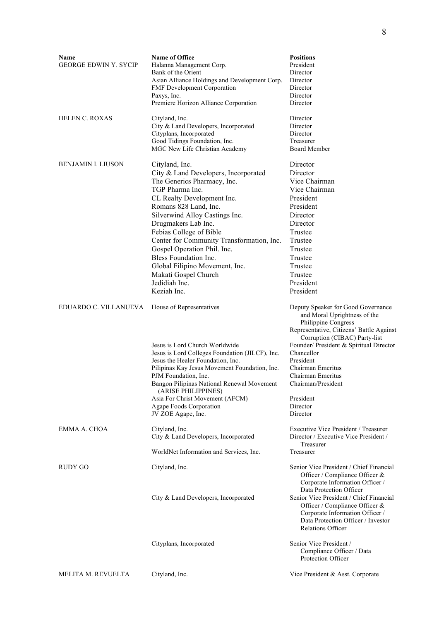| Name<br><b>GEORGE EDWIN Y. SYCIP</b> | <b>Name of Office</b><br>Halanna Management Corp.<br>Bank of the Orient<br>Asian Alliance Holdings and Development Corp.<br>FMF Development Corporation<br>Paxys, Inc.<br>Premiere Horizon Alliance Corporation                                                                                                                                                                                                                                    | <b>Positions</b><br>President<br>Director<br>Director<br>Director<br>Director<br>Director                                                                                                                                                                                                                                                         |
|--------------------------------------|----------------------------------------------------------------------------------------------------------------------------------------------------------------------------------------------------------------------------------------------------------------------------------------------------------------------------------------------------------------------------------------------------------------------------------------------------|---------------------------------------------------------------------------------------------------------------------------------------------------------------------------------------------------------------------------------------------------------------------------------------------------------------------------------------------------|
| <b>HELEN C. ROXAS</b>                | Cityland, Inc.<br>City & Land Developers, Incorporated<br>Cityplans, Incorporated<br>Good Tidings Foundation, Inc.<br>MGC New Life Christian Academy                                                                                                                                                                                                                                                                                               | Director<br>Director<br>Director<br>Treasurer<br>Board Member                                                                                                                                                                                                                                                                                     |
| BENJAMIN I. LIUSON                   | Cityland, Inc.<br>City & Land Developers, Incorporated<br>The Generics Pharmacy, Inc.<br>TGP Pharma Inc.<br>CL Realty Development Inc.<br>Romans 828 Land, Inc.<br>Silverwind Alloy Castings Inc.<br>Drugmakers Lab Inc.<br>Febias College of Bible<br>Center for Community Transformation, Inc.<br>Gospel Operation Phil. Inc.<br>Bless Foundation Inc.<br>Global Filipino Movement, Inc.<br>Makati Gospel Church<br>Jedidiah Inc.<br>Keziah Inc. | Director<br>Director<br>Vice Chairman<br>Vice Chairman<br>President<br>President<br>Director<br>Director<br>Trustee<br>Trustee<br>Trustee<br>Trustee<br>Trustee<br>Trustee<br>President<br>President                                                                                                                                              |
| EDUARDO C. VILLANUEVA                | House of Representatives<br>Jesus is Lord Church Worldwide<br>Jesus is Lord Colleges Foundation (JILCF), Inc.<br>Jesus the Healer Foundation, Inc.<br>Pilipinas Kay Jesus Movement Foundation, Inc.<br>PJM Foundation, Inc.<br>Bangon Pilipinas National Renewal Movement<br>(ARISE PHILIPPINES)<br>Asia For Christ Movement (AFCM)<br>Agape Foods Corporation<br>JV ZOE Agape, Inc.                                                               | Deputy Speaker for Good Governance<br>and Moral Uprightness of the<br>Philippine Congress<br>Representative, Citizens' Battle Against<br>Corruption (CIBAC) Party-list<br>Founder/ President & Spiritual Director<br>Chancellor<br>President<br>Chairman Emeritus<br>Chairman Emeritus<br>Chairman/President<br>President<br>Director<br>Director |
| EMMA A. CHOA                         | Cityland, Inc.<br>City & Land Developers, Incorporated                                                                                                                                                                                                                                                                                                                                                                                             | <b>Executive Vice President / Treasurer</b><br>Director / Executive Vice President /<br>Treasurer                                                                                                                                                                                                                                                 |
|                                      | WorldNet Information and Services, Inc.                                                                                                                                                                                                                                                                                                                                                                                                            | Treasurer                                                                                                                                                                                                                                                                                                                                         |
| <b>RUDY GO</b>                       | Cityland, Inc.<br>City & Land Developers, Incorporated                                                                                                                                                                                                                                                                                                                                                                                             | Senior Vice President / Chief Financial<br>Officer / Compliance Officer &<br>Corporate Information Officer /<br>Data Protection Officer<br>Senior Vice President / Chief Financial<br>Officer / Compliance Officer &<br>Corporate Information Officer /<br>Data Protection Officer / Investor<br><b>Relations Officer</b>                         |
|                                      | Cityplans, Incorporated                                                                                                                                                                                                                                                                                                                                                                                                                            | Senior Vice President /<br>Compliance Officer / Data<br>Protection Officer                                                                                                                                                                                                                                                                        |
| MELITA M. REVUELTA                   | Cityland, Inc.                                                                                                                                                                                                                                                                                                                                                                                                                                     | Vice President & Asst. Corporate                                                                                                                                                                                                                                                                                                                  |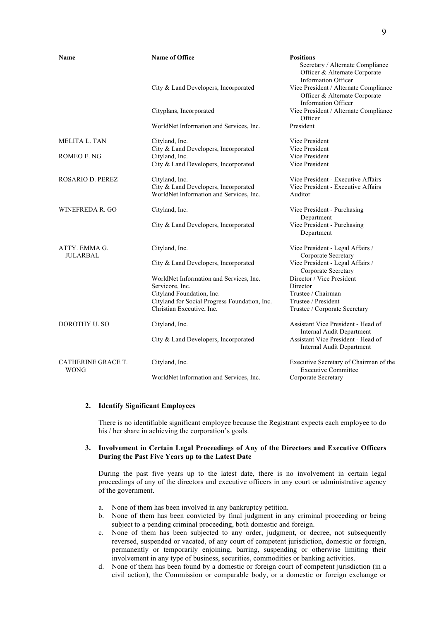| Name                                     | Name of Office                                         | <b>Positions</b><br>Secretary / Alternate Compliance<br>Officer & Alternate Corporate<br><b>Information Officer</b> |
|------------------------------------------|--------------------------------------------------------|---------------------------------------------------------------------------------------------------------------------|
|                                          | City & Land Developers, Incorporated                   | Vice President / Alternate Compliance<br>Officer & Alternate Corporate<br><b>Information Officer</b>                |
|                                          | Cityplans, Incorporated                                | Vice President / Alternate Compliance<br>Officer                                                                    |
|                                          | WorldNet Information and Services, Inc.                | President                                                                                                           |
| <b>MELITA L. TAN</b>                     | Cityland, Inc.                                         | Vice President                                                                                                      |
| ROMEO E. NG                              | City & Land Developers, Incorporated<br>Cityland, Inc. | Vice President<br>Vice President                                                                                    |
|                                          | City & Land Developers, Incorporated                   | Vice President                                                                                                      |
| <b>ROSARIO D. PEREZ</b>                  | Cityland, Inc.                                         | Vice President - Executive Affairs                                                                                  |
|                                          | City & Land Developers, Incorporated                   | Vice President - Executive Affairs                                                                                  |
|                                          | WorldNet Information and Services, Inc.                | Auditor                                                                                                             |
| WINEFREDA R. GO                          | Cityland, Inc.                                         | Vice President - Purchasing<br>Department                                                                           |
|                                          | City & Land Developers, Incorporated                   | Vice President - Purchasing<br>Department                                                                           |
| ATTY. EMMA G.<br><b>JULARBAL</b>         | Cityland, Inc.                                         | Vice President - Legal Affairs /<br>Corporate Secretary                                                             |
|                                          | City & Land Developers, Incorporated                   | Vice President - Legal Affairs /<br>Corporate Secretary                                                             |
|                                          | WorldNet Information and Services, Inc.                | Director / Vice President                                                                                           |
|                                          | Servicore, Inc.                                        | Director                                                                                                            |
|                                          | Cityland Foundation, Inc.                              | Trustee / Chairman                                                                                                  |
|                                          | Cityland for Social Progress Foundation, Inc.          | Trustee / President                                                                                                 |
|                                          | Christian Executive, Inc.                              | Trustee / Corporate Secretary                                                                                       |
| DOROTHY U. SO                            | Cityland, Inc.                                         | Assistant Vice President - Head of<br>Internal Audit Department                                                     |
|                                          | City & Land Developers, Incorporated                   | Assistant Vice President - Head of<br>Internal Audit Department                                                     |
| <b>CATHERINE GRACE T.</b><br><b>WONG</b> | Cityland, Inc.                                         | Executive Secretary of Chairman of the<br><b>Executive Committee</b>                                                |
|                                          | WorldNet Information and Services, Inc.                | Corporate Secretary                                                                                                 |

#### **2. Identify Significant Employees**

There is no identifiable significant employee because the Registrant expects each employee to do his / her share in achieving the corporation's goals.

# **3. Involvement in Certain Legal Proceedings of Any of the Directors and Executive Officers During the Past Five Years up to the Latest Date**

During the past five years up to the latest date, there is no involvement in certain legal proceedings of any of the directors and executive officers in any court or administrative agency of the government.

- a. None of them has been involved in any bankruptcy petition.
- b. None of them has been convicted by final judgment in any criminal proceeding or being subject to a pending criminal proceeding, both domestic and foreign.
- c. None of them has been subjected to any order, judgment, or decree, not subsequently reversed, suspended or vacated, of any court of competent jurisdiction, domestic or foreign, permanently or temporarily enjoining, barring, suspending or otherwise limiting their involvement in any type of business, securities, commodities or banking activities.
- d. None of them has been found by a domestic or foreign court of competent jurisdiction (in a civil action), the Commission or comparable body, or a domestic or foreign exchange or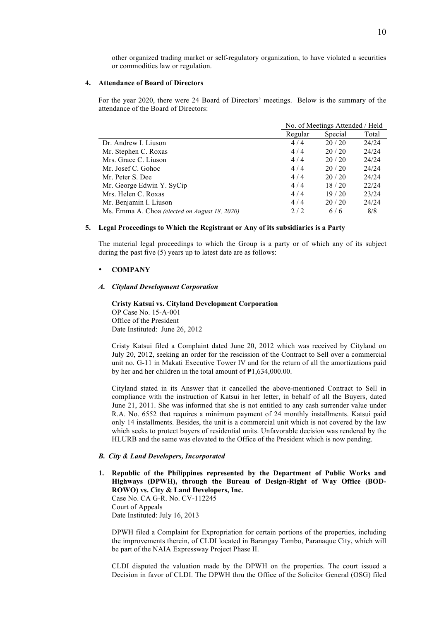other organized trading market or self-regulatory organization, to have violated a securities or commodities law or regulation.

#### **4. Attendance of Board of Directors**

For the year 2020, there were 24 Board of Directors' meetings. Below is the summary of the attendance of the Board of Directors:

|                                               | No. of Meetings Attended / Held |         |       |
|-----------------------------------------------|---------------------------------|---------|-------|
|                                               | Regular                         | Special | Total |
| Dr. Andrew I. Liuson                          | 4/4                             | 20/20   | 24/24 |
| Mr. Stephen C. Roxas                          | 4/4                             | 20/20   | 24/24 |
| Mrs. Grace C. Liuson                          | 4/4                             | 20/20   | 24/24 |
| Mr. Josef C. Gohoc                            | 4/4                             | 20/20   | 24/24 |
| Mr. Peter S. Dee                              | 4/4                             | 20/20   | 24/24 |
| Mr. George Edwin Y. SyCip                     | 4/4                             | 18/20   | 22/24 |
| Mrs. Helen C. Roxas                           | 4/4                             | 19/20   | 23/24 |
| Mr. Benjamin I. Liuson                        | 4/4                             | 20/20   | 24/24 |
| Ms. Emma A. Choa (elected on August 18, 2020) | 2/2                             | 6/6     | 8/8   |

#### **5. Legal Proceedings to Which the Registrant or Any of its subsidiaries is a Party**

The material legal proceedings to which the Group is a party or of which any of its subject during the past five (5) years up to latest date are as follows:

#### • **COMPANY**

#### *A. Cityland Development Corporation*

**Cristy Katsui vs. Cityland Development Corporation** OP Case No. 15-A-001 Office of the President Date Instituted: June 26, 2012

Cristy Katsui filed a Complaint dated June 20, 2012 which was received by Cityland on July 20, 2012, seeking an order for the rescission of the Contract to Sell over a commercial unit no. G-11 in Makati Executive Tower IV and for the return of all the amortizations paid by her and her children in the total amount of  $\text{P1},634,000.00$ .

Cityland stated in its Answer that it cancelled the above-mentioned Contract to Sell in compliance with the instruction of Katsui in her letter, in behalf of all the Buyers, dated June 21, 2011. She was informed that she is not entitled to any cash surrender value under R.A. No. 6552 that requires a minimum payment of 24 monthly installments. Katsui paid only 14 installments. Besides, the unit is a commercial unit which is not covered by the law which seeks to protect buyers of residential units. Unfavorable decision was rendered by the HLURB and the same was elevated to the Office of the President which is now pending.

#### *B. City & Land Developers, Incorporated*

**1. Republic of the Philippines represented by the Department of Public Works and Highways (DPWH), through the Bureau of Design-Right of Way Office (BOD-ROWO) vs. City & Land Developers, Inc.** Case No. CA G-R. No. CV-112245 Court of Appeals Date Instituted: July 16, 2013

DPWH filed a Complaint for Expropriation for certain portions of the properties, including the improvements therein, of CLDI located in Barangay Tambo, Paranaque City, which will be part of the NAIA Expressway Project Phase II.

CLDI disputed the valuation made by the DPWH on the properties. The court issued a Decision in favor of CLDI. The DPWH thru the Office of the Solicitor General (OSG) filed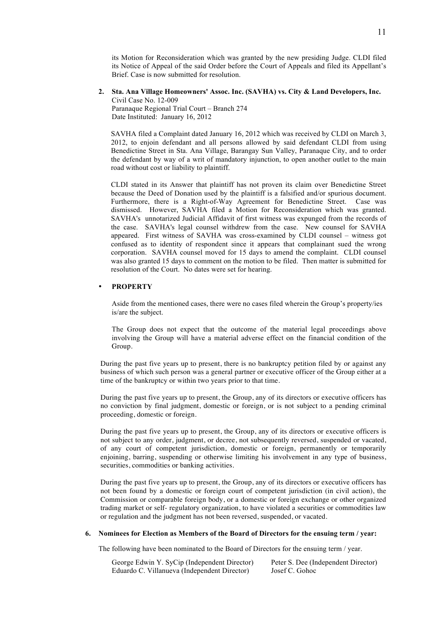its Motion for Reconsideration which was granted by the new presiding Judge. CLDI filed its Notice of Appeal of the said Order before the Court of Appeals and filed its Appellant's Brief. Case is now submitted for resolution.

**2. Sta. Ana Village Homeowners' Assoc. Inc. (SAVHA) vs. City & Land Developers, Inc.** Civil Case No. 12-009

Paranaque Regional Trial Court – Branch 274 Date Instituted: January 16, 2012

SAVHA filed a Complaint dated January 16, 2012 which was received by CLDI on March 3, 2012, to enjoin defendant and all persons allowed by said defendant CLDI from using Benedictine Street in Sta. Ana Village, Barangay Sun Valley, Paranaque City, and to order the defendant by way of a writ of mandatory injunction, to open another outlet to the main road without cost or liability to plaintiff.

CLDI stated in its Answer that plaintiff has not proven its claim over Benedictine Street because the Deed of Donation used by the plaintiff is a falsified and/or spurious document. Furthermore, there is a Right-of-Way Agreement for Benedictine Street. Case was dismissed. However, SAVHA filed a Motion for Reconsideration which was granted. SAVHA's unnotarized Judicial Affidavit of first witness was expunged from the records of the case. SAVHA's legal counsel withdrew from the case. New counsel for SAVHA appeared. First witness of SAVHA was cross-examined by CLDI counsel – witness got confused as to identity of respondent since it appears that complainant sued the wrong corporation. SAVHA counsel moved for 15 days to amend the complaint. CLDI counsel was also granted 15 days to comment on the motion to be filed. Then matter is submitted for resolution of the Court. No dates were set for hearing.

# • **PROPERTY**

Aside from the mentioned cases, there were no cases filed wherein the Group's property/ies is/are the subject.

The Group does not expect that the outcome of the material legal proceedings above involving the Group will have a material adverse effect on the financial condition of the Group.

During the past five years up to present, there is no bankruptcy petition filed by or against any business of which such person was a general partner or executive officer of the Group either at a time of the bankruptcy or within two years prior to that time.

During the past five years up to present, the Group, any of its directors or executive officers has no conviction by final judgment, domestic or foreign, or is not subject to a pending criminal proceeding, domestic or foreign.

During the past five years up to present, the Group, any of its directors or executive officers is not subject to any order, judgment, or decree, not subsequently reversed, suspended or vacated, of any court of competent jurisdiction, domestic or foreign, permanently or temporarily enjoining, barring, suspending or otherwise limiting his involvement in any type of business, securities, commodities or banking activities.

During the past five years up to present, the Group, any of its directors or executive officers has not been found by a domestic or foreign court of competent jurisdiction (in civil action), the Commission or comparable foreign body, or a domestic or foreign exchange or other organized trading market or self- regulatory organization, to have violated a securities or commodities law or regulation and the judgment has not been reversed, suspended, or vacated.

#### **6. Nominees for Election as Members of the Board of Directors for the ensuing term / year:**

The following have been nominated to the Board of Directors for the ensuing term / year.

| George Edwin Y. SyCip (Independent Director) | Peter S. Dee (Independent Director) |
|----------------------------------------------|-------------------------------------|
| Eduardo C. Villanueva (Independent Director) | Josef C. Gohoc                      |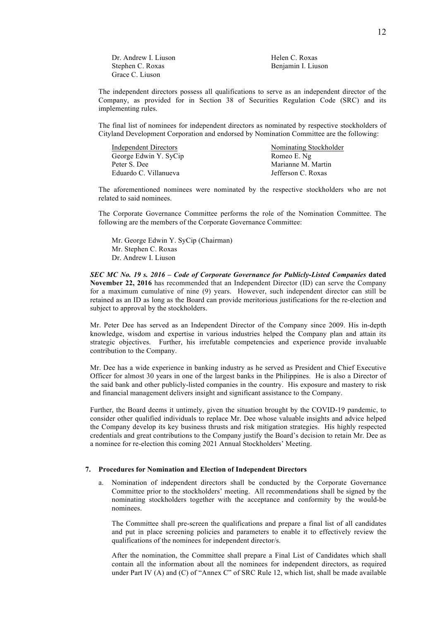Dr. Andrew I. Liuson Helen C. Roxas Stephen C. Roxas Benjamin I. Liuson Grace C. Liuson

The independent directors possess all qualifications to serve as an independent director of the Company, as provided for in Section 38 of Securities Regulation Code (SRC) and its implementing rules.

The final list of nominees for independent directors as nominated by respective stockholders of Cityland Development Corporation and endorsed by Nomination Committee are the following:

| Nominating Stockholder |
|------------------------|
| Romeo E. Ng            |
| Marianne M. Martin     |
| Jefferson C. Roxas     |
|                        |

The aforementioned nominees were nominated by the respective stockholders who are not related to said nominees.

The Corporate Governance Committee performs the role of the Nomination Committee. The following are the members of the Corporate Governance Committee:

Mr. George Edwin Y. SyCip (Chairman) Mr. Stephen C. Roxas Dr. Andrew I. Liuson

*SEC MC No. 19 s. 2016 – Code of Corporate Governance for Publicly-Listed Companies* **dated November 22, 2016** has recommended that an Independent Director (ID) can serve the Company for a maximum cumulative of nine (9) years. However, such independent director can still be retained as an ID as long as the Board can provide meritorious justifications for the re-election and subject to approval by the stockholders.

Mr. Peter Dee has served as an Independent Director of the Company since 2009. His in-depth knowledge, wisdom and expertise in various industries helped the Company plan and attain its strategic objectives. Further, his irrefutable competencies and experience provide invaluable contribution to the Company.

Mr. Dee has a wide experience in banking industry as he served as President and Chief Executive Officer for almost 30 years in one of the largest banks in the Philippines. He is also a Director of the said bank and other publicly-listed companies in the country. His exposure and mastery to risk and financial management delivers insight and significant assistance to the Company.

Further, the Board deems it untimely, given the situation brought by the COVID-19 pandemic, to consider other qualified individuals to replace Mr. Dee whose valuable insights and advice helped the Company develop its key business thrusts and risk mitigation strategies. His highly respected credentials and great contributions to the Company justify the Board's decision to retain Mr. Dee as a nominee for re-election this coming 2021 Annual Stockholders' Meeting.

#### **7. Procedures for Nomination and Election of Independent Directors**

a. Nomination of independent directors shall be conducted by the Corporate Governance Committee prior to the stockholders' meeting. All recommendations shall be signed by the nominating stockholders together with the acceptance and conformity by the would-be nominees.

The Committee shall pre-screen the qualifications and prepare a final list of all candidates and put in place screening policies and parameters to enable it to effectively review the qualifications of the nominees for independent director/s.

After the nomination, the Committee shall prepare a Final List of Candidates which shall contain all the information about all the nominees for independent directors, as required under Part IV (A) and (C) of "Annex C" of SRC Rule 12, which list, shall be made available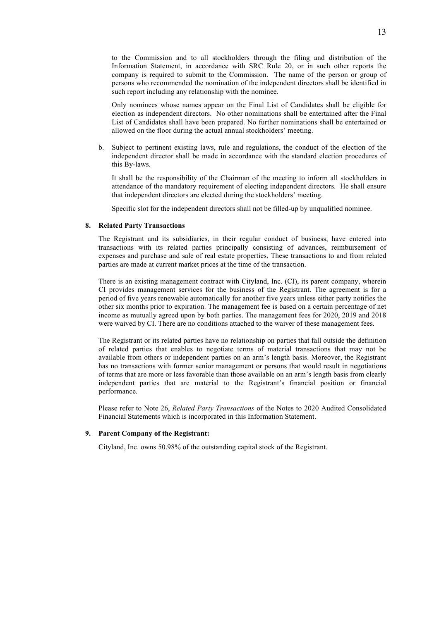Only nominees whose names appear on the Final List of Candidates shall be eligible for election as independent directors. No other nominations shall be entertained after the Final List of Candidates shall have been prepared. No further nominations shall be entertained or allowed on the floor during the actual annual stockholders' meeting.

b. Subject to pertinent existing laws, rule and regulations, the conduct of the election of the independent director shall be made in accordance with the standard election procedures of this By-laws.

It shall be the responsibility of the Chairman of the meeting to inform all stockholders in attendance of the mandatory requirement of electing independent directors. He shall ensure that independent directors are elected during the stockholders' meeting.

Specific slot for the independent directors shall not be filled-up by unqualified nominee.

# **8. Related Party Transactions**

The Registrant and its subsidiaries, in their regular conduct of business, have entered into transactions with its related parties principally consisting of advances, reimbursement of expenses and purchase and sale of real estate properties. These transactions to and from related parties are made at current market prices at the time of the transaction.

There is an existing management contract with Cityland, Inc. (CI), its parent company, wherein CI provides management services for the business of the Registrant. The agreement is for a period of five years renewable automatically for another five years unless either party notifies the other six months prior to expiration. The management fee is based on a certain percentage of net income as mutually agreed upon by both parties. The management fees for 2020, 2019 and 2018 were waived by CI. There are no conditions attached to the waiver of these management fees.

The Registrant or its related parties have no relationship on parties that fall outside the definition of related parties that enables to negotiate terms of material transactions that may not be available from others or independent parties on an arm's length basis. Moreover, the Registrant has no transactions with former senior management or persons that would result in negotiations of terms that are more or less favorable than those available on an arm's length basis from clearly independent parties that are material to the Registrant's financial position or financial performance.

Please refer to Note 26, *Related Party Transactions* of the Notes to 2020 Audited Consolidated Financial Statements which is incorporated in this Information Statement.

# **9. Parent Company of the Registrant:**

Cityland, Inc. owns 50.98% of the outstanding capital stock of the Registrant.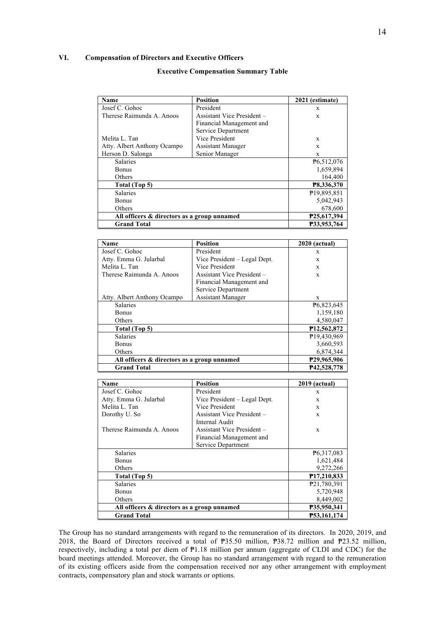# **VI. Compensation of Directors and Executive Officers**

# **Executive Compensation Summary Table**

| Name                                        | Position                   | 2021 (estimate)        |
|---------------------------------------------|----------------------------|------------------------|
| Josef C. Gohoc                              | President                  | X                      |
| Therese Raimunda A. Anoos                   | Assistant Vice President - | X                      |
|                                             | Financial Management and   |                        |
|                                             | Service Department         |                        |
| Melita L. Tan                               | Vice President             | X                      |
| Atty. Albert Anthony Ocampo                 | <b>Assistant Manager</b>   | X                      |
| Herson D. Salonga                           | Senior Manager             | X                      |
| <b>Salaries</b>                             |                            | P <sub>6.512,076</sub> |
| <b>Bonus</b>                                |                            | 1,659,894              |
| Others                                      |                            | 164,400                |
| Total (Top 5)                               |                            | P8,336,370             |
| <b>Salaries</b>                             |                            | ₹19,895,851            |
| <b>Bonus</b>                                |                            | 5,042,943              |
| Others                                      |                            | 678,600                |
| All officers & directors as a group unnamed |                            | P25,617,394            |
| <b>Grand Total</b>                          |                            | P33,953,764            |

| Name                                        | <b>Position</b>              | <b>2020</b> (actual)       |
|---------------------------------------------|------------------------------|----------------------------|
| Josef C. Gohoc                              | President                    | X                          |
| Atty. Emma G. Jularbal                      | Vice President – Legal Dept. | X                          |
| Melita L. Tan                               | Vice President               | X                          |
| Therese Raimunda A. Anoos                   | Assistant Vice President -   | X                          |
|                                             | Financial Management and     |                            |
|                                             | Service Department           |                            |
| Atty. Albert Anthony Ocampo                 | <b>Assistant Manager</b>     | X                          |
| <b>Salaries</b>                             |                              | P6,823,645                 |
| Bonus                                       |                              | 1,159,180                  |
| Others                                      |                              | 4,580,047                  |
| Total (Top 5)                               |                              | P <sub>12</sub> , 562, 872 |
| <b>Salaries</b>                             |                              | ₱19,430,969                |
| Bonus                                       |                              | 3,660,593                  |
| Others                                      |                              | 6,874,344                  |
| All officers & directors as a group unnamed |                              | P29,965,906                |
| <b>Grand Total</b>                          |                              | P42.528.778                |

| Name                                        | <b>Position</b>              | 2019 (actual)            |
|---------------------------------------------|------------------------------|--------------------------|
| Josef C. Gohoc                              | President                    | X                        |
| Atty. Emma G. Jularbal                      | Vice President – Legal Dept. | X                        |
| Melita L. Tan                               | Vice President               | X                        |
| Dorothy U. So                               | Assistant Vice President -   | X                        |
|                                             | Internal Audit               |                          |
| Therese Raimunda A. Anoos                   | Assistant Vice President -   | X                        |
|                                             | Financial Management and     |                          |
|                                             | Service Department           |                          |
| <b>Salaries</b>                             |                              | P6,317,083               |
| <b>Bonus</b>                                |                              | 1,621,484                |
| Others                                      |                              | 9,272,266                |
| Total (Top 5)                               |                              | P <sub>17</sub> ,210,833 |
| <b>Salaries</b>                             |                              | P21,780,391              |
| <b>Bonus</b>                                |                              | 5,720,948                |
| Others                                      |                              | 8,449,002                |
| All officers & directors as a group unnamed |                              | P35,950,341              |
| <b>Grand Total</b>                          |                              | P53.161.174              |

The Group has no standard arrangements with regard to the remuneration of its directors. In 2020, 2019, and 2018, the Board of Directors received a total of ₱35.50 million, ₱38.72 million and ₱23.52 million, respectively, including a total per diem of ₱1.18 million per annum (aggregate of CLDI and CDC) for the board meetings attended. Moreover, the Group has no standard arrangement with regard to the remuneration of its existing officers aside from the compensation received nor any other arrangement with employment contracts, compensatory plan and stock warrants or options.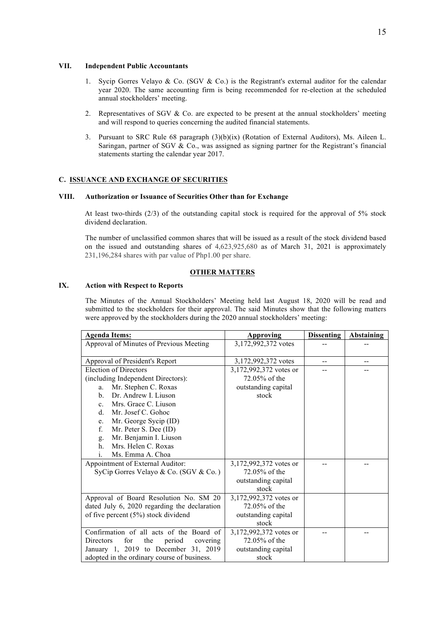#### **VII. Independent Public Accountants**

- 1. Sycip Gorres Velayo & Co. (SGV & Co.) is the Registrant's external auditor for the calendar year 2020. The same accounting firm is being recommended for re-election at the scheduled annual stockholders' meeting.
- 2. Representatives of SGV  $& Co.$  are expected to be present at the annual stockholders' meeting and will respond to queries concerning the audited financial statements.
- 3. Pursuant to SRC Rule 68 paragraph (3)(b)(ix) (Rotation of External Auditors), Ms. Aileen L. Saringan, partner of SGV & Co., was assigned as signing partner for the Registrant's financial statements starting the calendar year 2017.

# **C. ISSUANCE AND EXCHANGE OF SECURITIES**

# **VIII. Authorization or Issuance of Securities Other than for Exchange**

At least two-thirds (2/3) of the outstanding capital stock is required for the approval of 5% stock dividend declaration.

The number of unclassified common shares that will be issued as a result of the stock dividend based on the issued and outstanding shares of 4,623,925,680 as of March 31, 2021 is approximately 231,196,284 shares with par value of Php1.00 per share.

# **OTHER MATTERS**

# **IX. Action with Respect to Reports**

The Minutes of the Annual Stockholders' Meeting held last August 18, 2020 will be read and submitted to the stockholders for their approval. The said Minutes show that the following matters were approved by the stockholders during the 2020 annual stockholders' meeting:

| <b>Agenda Items:</b>                                 | <b>Approving</b>       | <b>Dissenting</b> | <b>Abstaining</b> |
|------------------------------------------------------|------------------------|-------------------|-------------------|
| Approval of Minutes of Previous Meeting              | 3,172,992,372 votes    |                   |                   |
|                                                      |                        |                   |                   |
| Approval of President's Report                       | 3,172,992,372 votes    | --                | --                |
| <b>Election of Directors</b>                         | 3,172,992,372 votes or |                   |                   |
| (including Independent Directors):                   | 72.05% of the          |                   |                   |
| Mr. Stephen C. Roxas<br>a.                           | outstanding capital    |                   |                   |
| Dr. Andrew I. Liuson<br>$\mathbf{b}$ .               | stock                  |                   |                   |
| Mrs. Grace C. Liuson<br>$\mathbf{c}$ .               |                        |                   |                   |
| Mr. Josef C. Gohoc<br>$d_{-}$                        |                        |                   |                   |
| Mr. George Sycip (ID)<br>e.                          |                        |                   |                   |
| f.<br>Mr. Peter S. Dee (ID)                          |                        |                   |                   |
| Mr. Benjamin I. Liuson<br>g.                         |                        |                   |                   |
| Mrs. Helen C. Roxas<br>h                             |                        |                   |                   |
| Ms. Emma A. Choa<br>$\mathbf{1}$ .                   |                        |                   |                   |
| Appointment of External Auditor:                     | 3,172,992,372 votes or |                   |                   |
| SyCip Gorres Velayo & Co. (SGV & Co.)                | 72.05% of the          |                   |                   |
|                                                      | outstanding capital    |                   |                   |
|                                                      | stock                  |                   |                   |
| Approval of Board Resolution No. SM 20               | 3,172,992,372 votes or |                   |                   |
| dated July 6, 2020 regarding the declaration         | 72.05% of the          |                   |                   |
| of five percent (5%) stock dividend                  | outstanding capital    |                   |                   |
|                                                      | stock                  |                   |                   |
| Confirmation of all acts of the Board of             | 3,172,992,372 votes or |                   |                   |
| for<br><b>Directors</b><br>the<br>period<br>covering | 72.05% of the          |                   |                   |
| January 1, 2019 to December 31, 2019                 | outstanding capital    |                   |                   |
| adopted in the ordinary course of business.          | stock                  |                   |                   |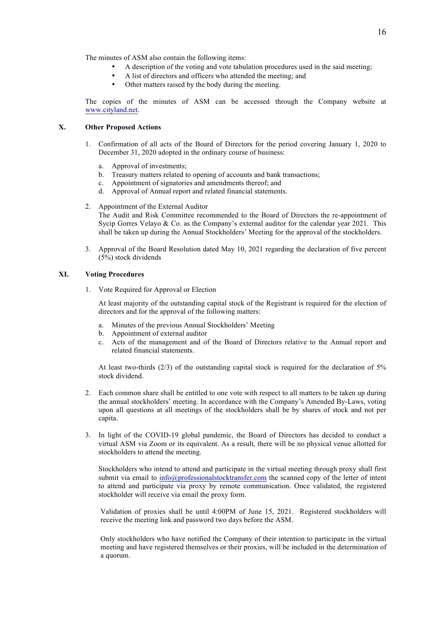The minutes of ASM also contain the following items:

- A description of the voting and vote tabulation procedures used in the said meeting;
	- A list of directors and officers who attended the meeting; and
- Other matters raised by the body during the meeting.

The copies of the minutes of ASM can be accessed through the Company website at www.cityland.net.

# **X. Other Proposed Actions**

- 1. Confirmation of all acts of the Board of Directors for the period covering January 1, 2020 to December 31, 2020 adopted in the ordinary course of business:
	- a. Approval of investments;
	- b. Treasury matters related to opening of accounts and bank transactions;
	- c. Appointment of signatories and amendments thereof; and
	- d. Approval of Annual report and related financial statements.
- 2. Appointment of the External Auditor The Audit and Risk Committee recommended to the Board of Directors the re-appointment of Sycip Gorres Velayo & Co. as the Company's external auditor for the calendar year 2021. This shall be taken up during the Annual Stockholders' Meeting for the approval of the stockholders.
- 3. Approval of the Board Resolution dated May 10, 2021 regarding the declaration of five percent (5%) stock dividends

#### **XI. Voting Procedures**

1. Vote Required for Approval or Election

At least majority of the outstanding capital stock of the Registrant is required for the election of directors and for the approval of the following matters:

- a. Minutes of the previous Annual Stockholders' Meeting
- b. Appointment of external auditor
- c. Acts of the management and of the Board of Directors relative to the Annual report and related financial statements.

At least two-thirds  $(2/3)$  of the outstanding capital stock is required for the declaration of 5% stock dividend.

- 2. Each common share shall be entitled to one vote with respect to all matters to be taken up during the annual stockholders' meeting. In accordance with the Company's Amended By-Laws, voting upon all questions at all meetings of the stockholders shall be by shares of stock and not per capita.
- 3. In light of the COVID-19 global pandemic, the Board of Directors has decided to conduct a virtual ASM via Zoom or its equivalent. As a result, there will be no physical venue allotted for stockholders to attend the meeting.

Stockholders who intend to attend and participate in the virtual meeting through proxy shall first submit via email to info@professionalstocktransfer.com the scanned copy of the letter of intent to attend and participate via proxy by remote communication. Once validated, the registered stockholder will receive via email the proxy form.

Validation of proxies shall be until 4:00PM of June 15, 2021. Registered stockholders will receive the meeting link and password two days before the ASM.

Only stockholders who have notified the Company of their intention to participate in the virtual meeting and have registered themselves or their proxies, will be included in the determination of a quorum.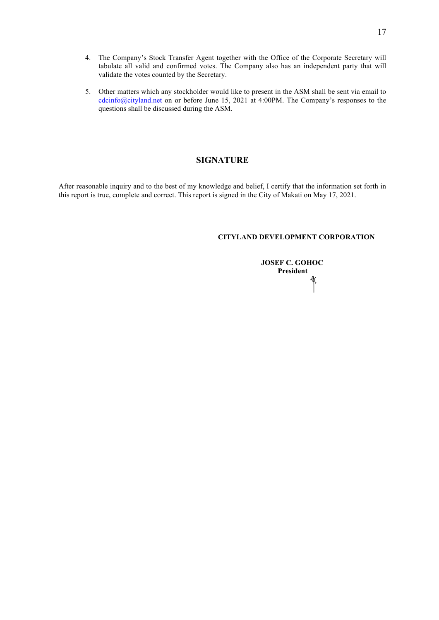- 4. The Company's Stock Transfer Agent together with the Office of the Corporate Secretary will tabulate all valid and confirmed votes. The Company also has an independent party that will validate the votes counted by the Secretary.
- 5. Other matters which any stockholder would like to present in the ASM shall be sent via email to cdcinfo@cityland.net on or before June 15, 2021 at 4:00PM. The Company's responses to the questions shall be discussed during the ASM.

# **SIGNATURE**

After reasonable inquiry and to the best of my knowledge and belief, I certify that the information set forth in this report is true, complete and correct. This report is signed in the City of Makati on May 17, 2021.

# **CITYLAND DEVELOPMENT CORPORATION**

 **JOSEF C. GOHOC President**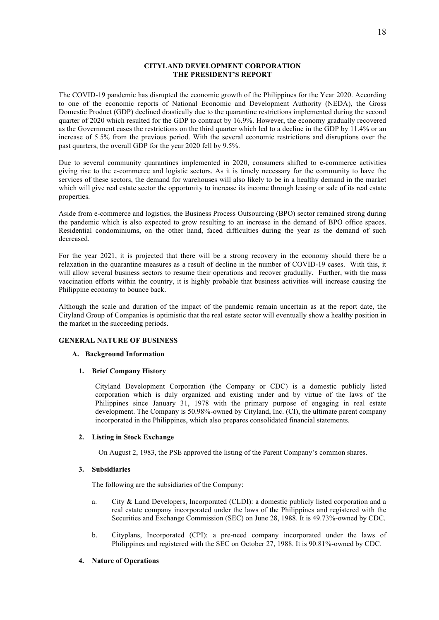# **CITYLAND DEVELOPMENT CORPORATION THE PRESIDENT'S REPORT**

The COVID-19 pandemic has disrupted the economic growth of the Philippines for the Year 2020. According to one of the economic reports of National Economic and Development Authority (NEDA), the Gross Domestic Product (GDP) declined drastically due to the quarantine restrictions implemented during the second quarter of 2020 which resulted for the GDP to contract by 16.9%. However, the economy gradually recovered as the Government eases the restrictions on the third quarter which led to a decline in the GDP by 11.4% or an increase of 5.5% from the previous period. With the several economic restrictions and disruptions over the past quarters, the overall GDP for the year 2020 fell by 9.5%.

Due to several community quarantines implemented in 2020, consumers shifted to e-commerce activities giving rise to the e-commerce and logistic sectors. As it is timely necessary for the community to have the services of these sectors, the demand for warehouses will also likely to be in a healthy demand in the market which will give real estate sector the opportunity to increase its income through leasing or sale of its real estate properties.

Aside from e-commerce and logistics, the Business Process Outsourcing (BPO) sector remained strong during the pandemic which is also expected to grow resulting to an increase in the demand of BPO office spaces. Residential condominiums, on the other hand, faced difficulties during the year as the demand of such decreased.

For the year 2021, it is projected that there will be a strong recovery in the economy should there be a relaxation in the quarantine measures as a result of decline in the number of COVID-19 cases. With this, it will allow several business sectors to resume their operations and recover gradually. Further, with the mass vaccination efforts within the country, it is highly probable that business activities will increase causing the Philippine economy to bounce back.

Although the scale and duration of the impact of the pandemic remain uncertain as at the report date, the Cityland Group of Companies is optimistic that the real estate sector will eventually show a healthy position in the market in the succeeding periods.

#### **GENERAL NATURE OF BUSINESS**

#### **A. Background Information**

#### **1. Brief Company History**

Cityland Development Corporation (the Company or CDC) is a domestic publicly listed corporation which is duly organized and existing under and by virtue of the laws of the Philippines since January 31, 1978 with the primary purpose of engaging in real estate development. The Company is 50.98%-owned by Cityland, Inc. (CI), the ultimate parent company incorporated in the Philippines, which also prepares consolidated financial statements.

# **2. Listing in Stock Exchange**

On August 2, 1983, the PSE approved the listing of the Parent Company's common shares.

#### **3. Subsidiaries**

The following are the subsidiaries of the Company:

- a. City & Land Developers, Incorporated (CLDI): a domestic publicly listed corporation and a real estate company incorporated under the laws of the Philippines and registered with the Securities and Exchange Commission (SEC) on June 28, 1988. It is 49.73%-owned by CDC.
- b. Cityplans, Incorporated (CPI): a pre-need company incorporated under the laws of Philippines and registered with the SEC on October 27, 1988. It is 90.81%-owned by CDC.

# **4. Nature of Operations**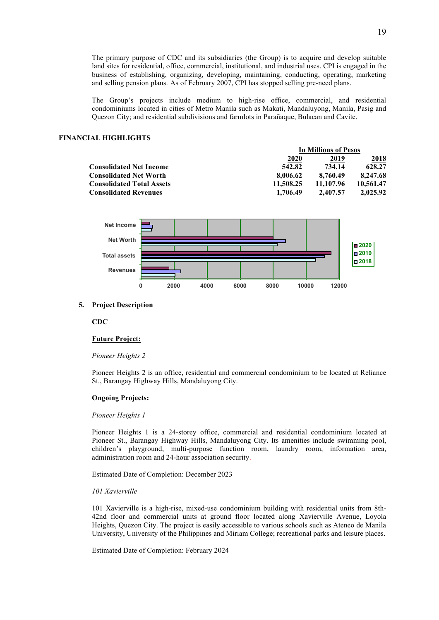The primary purpose of CDC and its subsidiaries (the Group) is to acquire and develop suitable land sites for residential, office, commercial, institutional, and industrial uses. CPI is engaged in the business of establishing, organizing, developing, maintaining, conducting, operating, marketing and selling pension plans. As of February 2007, CPI has stopped selling pre-need plans.

The Group's projects include medium to high-rise office, commercial, and residential condominiums located in cities of Metro Manila such as Makati, Mandaluyong, Manila, Pasig and Quezon City; and residential subdivisions and farmlots in Parañaque, Bulacan and Cavite.

#### **FINANCIAL HIGHLIGHTS**

|                                  | In Millions of Pesos |           |           |
|----------------------------------|----------------------|-----------|-----------|
|                                  | 2020                 | 2019      | 2018      |
| <b>Consolidated Net Income</b>   | 542.82               | 734.14    | 628.27    |
| <b>Consolidated Net Worth</b>    | 8.006.62             | 8.760.49  | 8,247.68  |
| <b>Consolidated Total Assets</b> | 11.508.25            | 11.107.96 | 10.561.47 |
| <b>Consolidated Revenues</b>     | 1,706.49             | 2.407.57  | 2,025.92  |



#### **5. Project Description**

**CDC**

#### **Future Project:**

#### *Pioneer Heights 2*

Pioneer Heights 2 is an office, residential and commercial condominium to be located at Reliance St., Barangay Highway Hills, Mandaluyong City.

#### **Ongoing Projects:**

#### *Pioneer Heights 1*

Pioneer Heights 1 is a 24-storey office, commercial and residential condominium located at Pioneer St., Barangay Highway Hills, Mandaluyong City. Its amenities include swimming pool, children's playground, multi-purpose function room, laundry room, information area, administration room and 24-hour association security.

Estimated Date of Completion: December 2023

#### *101 Xavierville*

101 Xavierville is a high-rise, mixed-use condominium building with residential units from 8th-42nd floor and commercial units at ground floor located along Xavierville Avenue, Loyola Heights, Quezon City. The project is easily accessible to various schools such as Ateneo de Manila University, University of the Philippines and Miriam College; recreational parks and leisure places.

Estimated Date of Completion: February 2024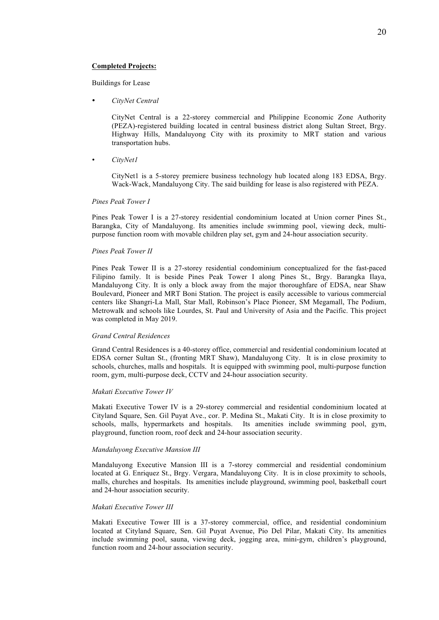#### **Completed Projects:**

Buildings for Lease

• *CityNet Central*

CityNet Central is a 22-storey commercial and Philippine Economic Zone Authority (PEZA)-registered building located in central business district along Sultan Street, Brgy. Highway Hills, Mandaluyong City with its proximity to MRT station and various transportation hubs.

• *CityNet1*

CityNet1 is a 5-storey premiere business technology hub located along 183 EDSA, Brgy. Wack-Wack, Mandaluyong City. The said building for lease is also registered with PEZA.

# *Pines Peak Tower I*

Pines Peak Tower I is a 27-storey residential condominium located at Union corner Pines St., Barangka, City of Mandaluyong. Its amenities include swimming pool, viewing deck, multipurpose function room with movable children play set, gym and 24-hour association security.

#### *Pines Peak Tower II*

Pines Peak Tower II is a 27-storey residential condominium conceptualized for the fast-paced Filipino family. It is beside Pines Peak Tower I along Pines St., Brgy. Barangka Ilaya, Mandaluyong City. It is only a block away from the major thoroughfare of EDSA, near Shaw Boulevard, Pioneer and MRT Boni Station. The project is easily accessible to various commercial centers like Shangri-La Mall, Star Mall, Robinson's Place Pioneer, SM Megamall, The Podium, Metrowalk and schools like Lourdes, St. Paul and University of Asia and the Pacific. This project was completed in May 2019.

#### *Grand Central Residences*

Grand Central Residences is a 40-storey office, commercial and residential condominium located at EDSA corner Sultan St., (fronting MRT Shaw), Mandaluyong City. It is in close proximity to schools, churches, malls and hospitals. It is equipped with swimming pool, multi-purpose function room, gym, multi-purpose deck, CCTV and 24-hour association security.

#### *Makati Executive Tower IV*

Makati Executive Tower IV is a 29-storey commercial and residential condominium located at Cityland Square, Sen. Gil Puyat Ave., cor. P. Medina St., Makati City. It is in close proximity to schools, malls, hypermarkets and hospitals. Its amenities include swimming pool, gym, playground, function room, roof deck and 24-hour association security.

#### *Mandaluyong Executive Mansion III*

Mandaluyong Executive Mansion III is a 7-storey commercial and residential condominium located at G. Enriquez St., Brgy. Vergara, Mandaluyong City. It is in close proximity to schools, malls, churches and hospitals. Its amenities include playground, swimming pool, basketball court and 24-hour association security.

#### *Makati Executive Tower III*

Makati Executive Tower III is a 37-storey commercial, office, and residential condominium located at Cityland Square, Sen. Gil Puyat Avenue, Pio Del Pilar, Makati City. Its amenities include swimming pool, sauna, viewing deck, jogging area, mini-gym, children's playground, function room and 24-hour association security.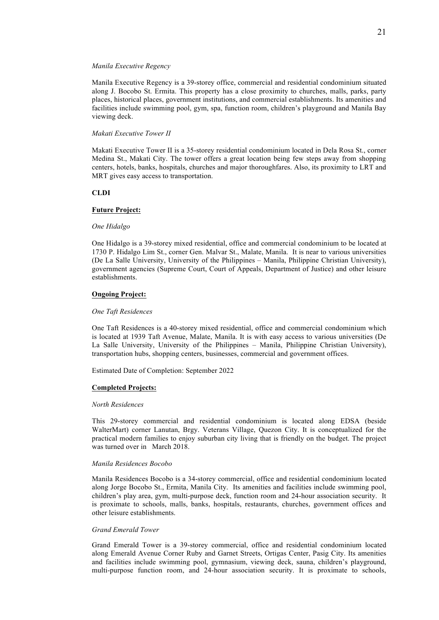#### *Manila Executive Regency*

Manila Executive Regency is a 39-storey office, commercial and residential condominium situated along J. Bocobo St. Ermita. This property has a close proximity to churches, malls, parks, party places, historical places, government institutions, and commercial establishments. Its amenities and facilities include swimming pool, gym, spa, function room, children's playground and Manila Bay viewing deck.

#### *Makati Executive Tower II*

Makati Executive Tower II is a 35-storey residential condominium located in Dela Rosa St., corner Medina St., Makati City. The tower offers a great location being few steps away from shopping centers, hotels, banks, hospitals, churches and major thoroughfares. Also, its proximity to LRT and MRT gives easy access to transportation.

#### **CLDI**

#### **Future Project:**

#### *One Hidalgo*

One Hidalgo is a 39-storey mixed residential, office and commercial condominium to be located at 1730 P. Hidalgo Lim St., corner Gen. Malvar St., Malate, Manila. It is near to various universities (De La Salle University, University of the Philippines – Manila, Philippine Christian University), government agencies (Supreme Court, Court of Appeals, Department of Justice) and other leisure establishments.

#### **Ongoing Project:**

#### *One Taft Residences*

One Taft Residences is a 40-storey mixed residential, office and commercial condominium which is located at 1939 Taft Avenue, Malate, Manila. It is with easy access to various universities (De La Salle University, University of the Philippines – Manila, Philippine Christian University), transportation hubs, shopping centers, businesses, commercial and government offices.

Estimated Date of Completion: September 2022

#### **Completed Projects:**

#### *North Residences*

This 29-storey commercial and residential condominium is located along EDSA (beside WalterMart) corner Lanutan, Brgy. Veterans Village, Quezon City. It is conceptualized for the practical modern families to enjoy suburban city living that is friendly on the budget. The project was turned over in March 2018.

#### *Manila Residences Bocobo*

Manila Residences Bocobo is a 34-storey commercial, office and residential condominium located along Jorge Bocobo St., Ermita, Manila City. Its amenities and facilities include swimming pool, children's play area, gym, multi-purpose deck, function room and 24-hour association security. It is proximate to schools, malls, banks, hospitals, restaurants, churches, government offices and other leisure establishments.

#### *Grand Emerald Tower*

Grand Emerald Tower is a 39-storey commercial, office and residential condominium located along Emerald Avenue Corner Ruby and Garnet Streets, Ortigas Center, Pasig City. Its amenities and facilities include swimming pool, gymnasium, viewing deck, sauna, children's playground, multi-purpose function room, and 24-hour association security. It is proximate to schools,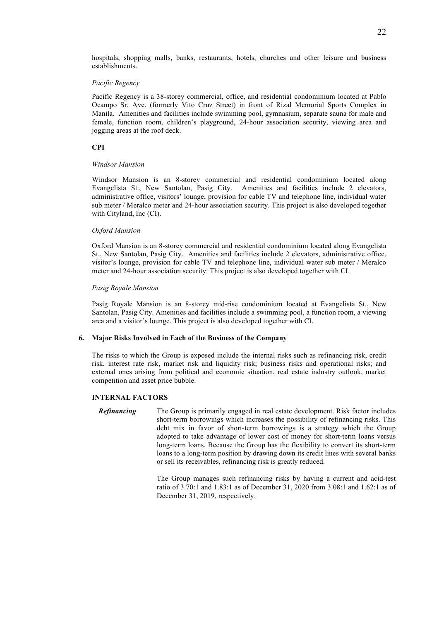hospitals, shopping malls, banks, restaurants, hotels, churches and other leisure and business establishments.

#### *Pacific Regency*

Pacific Regency is a 38-storey commercial, office, and residential condominium located at Pablo Ocampo Sr. Ave. (formerly Vito Cruz Street) in front of Rizal Memorial Sports Complex in Manila. Amenities and facilities include swimming pool, gymnasium, separate sauna for male and female, function room, children's playground, 24-hour association security, viewing area and jogging areas at the roof deck.

#### **CPI**

#### *Windsor Mansion*

Windsor Mansion is an 8-storey commercial and residential condominium located along Evangelista St., New Santolan, Pasig City. Amenities and facilities include 2 elevators, administrative office, visitors' lounge, provision for cable TV and telephone line, individual water sub meter / Meralco meter and 24-hour association security. This project is also developed together with Cityland, Inc (CI).

#### *Oxford Mansion*

Oxford Mansion is an 8-storey commercial and residential condominium located along Evangelista St., New Santolan, Pasig City. Amenities and facilities include 2 elevators, administrative office, visitor's lounge, provision for cable TV and telephone line, individual water sub meter / Meralco meter and 24-hour association security. This project is also developed together with CI.

#### *Pasig Royale Mansion*

Pasig Royale Mansion is an 8-storey mid-rise condominium located at Evangelista St., New Santolan, Pasig City. Amenities and facilities include a swimming pool, a function room, a viewing area and a visitor's lounge. This project is also developed together with CI.

#### **6. Major Risks Involved in Each of the Business of the Company**

The risks to which the Group is exposed include the internal risks such as refinancing risk, credit risk, interest rate risk, market risk and liquidity risk; business risks and operational risks; and external ones arising from political and economic situation, real estate industry outlook, market competition and asset price bubble.

#### **INTERNAL FACTORS**

*Refinancing* The Group is primarily engaged in real estate development. Risk factor includes short-term borrowings which increases the possibility of refinancing risks. This debt mix in favor of short-term borrowings is a strategy which the Group adopted to take advantage of lower cost of money for short-term loans versus long-term loans. Because the Group has the flexibility to convert its short-term loans to a long-term position by drawing down its credit lines with several banks or sell its receivables, refinancing risk is greatly reduced.

> The Group manages such refinancing risks by having a current and acid-test ratio of 3.70:1 and 1.83:1 as of December 31, 2020 from 3.08:1 and 1.62:1 as of December 31, 2019, respectively.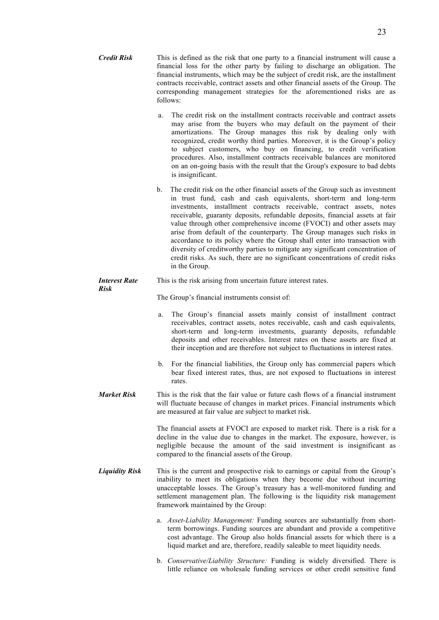| <b>Credit Risk</b> | This is defined as the risk that one party to a financial instrument will cause a<br>financial loss for the other party by failing to discharge an obligation. The        |
|--------------------|---------------------------------------------------------------------------------------------------------------------------------------------------------------------------|
|                    | financial instruments, which may be the subject of credit risk, are the installment<br>contracts receivable, contract assets and other financial assets of the Group. The |
|                    | corresponding management strategies for the aforementioned risks are as<br>follows:                                                                                       |

- a. The credit risk on the installment contracts receivable and contract assets may arise from the buyers who may default on the payment of their amortizations. The Group manages this risk by dealing only with recognized, credit worthy third parties. Moreover, it is the Group's policy to subject customers, who buy on financing, to credit verification procedures. Also, installment contracts receivable balances are monitored on an on-going basis with the result that the Group's exposure to bad debts is insignificant.
- b. The credit risk on the other financial assets of the Group such as investment in trust fund, cash and cash equivalents, short-term and long-term investments, installment contracts receivable, contract assets, notes receivable, guaranty deposits, refundable deposits, financial assets at fair value through other comprehensive income (FVOCI) and other assets may arise from default of the counterparty. The Group manages such risks in accordance to its policy where the Group shall enter into transaction with diversity of creditworthy parties to mitigate any significant concentration of credit risks. As such, there are no significant concentrations of credit risks in the Group.

#### *Interest Rate Risk* This is the risk arising from uncertain future interest rates.

The Group's financial instruments consist of:

- a. The Group's financial assets mainly consist of installment contract receivables, contract assets, notes receivable, cash and cash equivalents, short-term and long-term investments, guaranty deposits, refundable deposits and other receivables. Interest rates on these assets are fixed at their inception and are therefore not subject to fluctuations in interest rates.
- b. For the financial liabilities, the Group only has commercial papers which bear fixed interest rates, thus, are not exposed to fluctuations in interest rates.
- *Market Risk* This is the risk that the fair value or future cash flows of a financial instrument will fluctuate because of changes in market prices. Financial instruments which are measured at fair value are subject to market risk.

The financial assets at FVOCI are exposed to market risk. There is a risk for a decline in the value due to changes in the market. The exposure, however, is negligible because the amount of the said investment is insignificant as compared to the financial assets of the Group.

- *Liquidity Risk* This is the current and prospective risk to earnings or capital from the Group's inability to meet its obligations when they become due without incurring unacceptable losses. The Group's treasury has a well-monitored funding and settlement management plan. The following is the liquidity risk management framework maintained by the Group:
	- a. *Asset-Liability Management:* Funding sources are substantially from shortterm borrowings. Funding sources are abundant and provide a competitive cost advantage. The Group also holds financial assets for which there is a liquid market and are, therefore, readily saleable to meet liquidity needs.
	- b. *Conservative/Liability Structure:* Funding is widely diversified. There is little reliance on wholesale funding services or other credit sensitive fund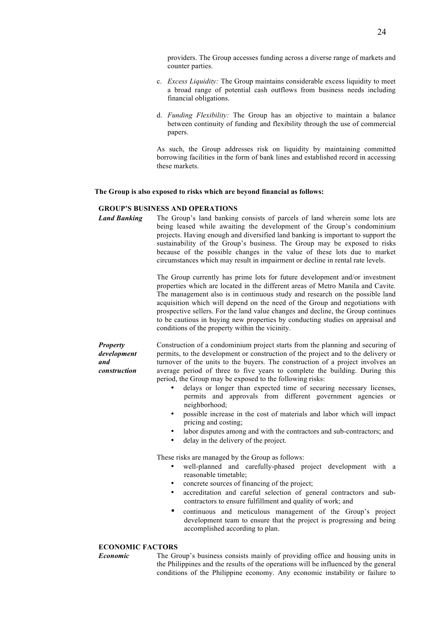providers. The Group accesses funding across a diverse range of markets and counter parties.

- c. *Excess Liquidity:* The Group maintains considerable excess liquidity to meet a broad range of potential cash outflows from business needs including financial obligations.
- d. *Funding Flexibility:* The Group has an objective to maintain a balance between continuity of funding and flexibility through the use of commercial papers.

As such, the Group addresses risk on liquidity by maintaining committed borrowing facilities in the form of bank lines and established record in accessing these markets.

#### **The Group is also exposed to risks which are beyond financial as follows:**

#### **GROUP'S BUSINESS AND OPERATIONS**

*Land Banking* The Group's land banking consists of parcels of land wherein some lots are being leased while awaiting the development of the Group's condominium projects. Having enough and diversified land banking is important to support the sustainability of the Group's business. The Group may be exposed to risks because of the possible changes in the value of these lots due to market circumstances which may result in impairment or decline in rental rate levels.

> The Group currently has prime lots for future development and/or investment properties which are located in the different areas of Metro Manila and Cavite. The management also is in continuous study and research on the possible land acquisition which will depend on the need of the Group and negotiations with prospective sellers. For the land value changes and decline, the Group continues to be cautious in buying new properties by conducting studies on appraisal and conditions of the property within the vicinity.

*development construction* Construction of a condominium project starts from the planning and securing of permits, to the development or construction of the project and to the delivery or turnover of the units to the buyers. The construction of a project involves an average period of three to five years to complete the building. During this period, the Group may be exposed to the following risks:

- delays or longer than expected time of securing necessary licenses, permits and approvals from different government agencies or neighborhood;
- possible increase in the cost of materials and labor which will impact pricing and costing;
- labor disputes among and with the contractors and sub-contractors; and
- delay in the delivery of the project.

These risks are managed by the Group as follows:

- well-planned and carefully-phased project development with a reasonable timetable;
- concrete sources of financing of the project;
- accreditation and careful selection of general contractors and subcontractors to ensure fulfillment and quality of work; and
- continuous and meticulous management of the Group's project development team to ensure that the project is progressing and being accomplished according to plan.

## **ECONOMIC FACTORS**

*Property* 

*and* 

*Economic* The Group's business consists mainly of providing office and housing units in the Philippines and the results of the operations will be influenced by the general conditions of the Philippine economy. Any economic instability or failure to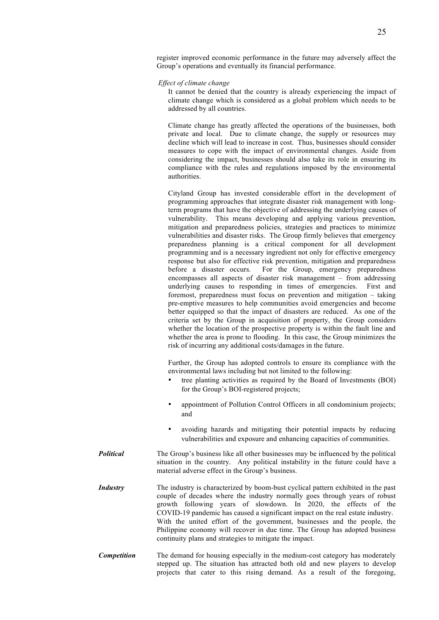register improved economic performance in the future may adversely affect the Group's operations and eventually its financial performance.

*Effect of climate change*

It cannot be denied that the country is already experiencing the impact of climate change which is considered as a global problem which needs to be addressed by all countries.

Climate change has greatly affected the operations of the businesses, both private and local. Due to climate change, the supply or resources may decline which will lead to increase in cost. Thus, businesses should consider measures to cope with the impact of environmental changes. Aside from considering the impact, businesses should also take its role in ensuring its compliance with the rules and regulations imposed by the environmental authorities.

Cityland Group has invested considerable effort in the development of programming approaches that integrate disaster risk management with longterm programs that have the objective of addressing the underlying causes of vulnerability. This means developing and applying various prevention, mitigation and preparedness policies, strategies and practices to minimize vulnerabilities and disaster risks. The Group firmly believes that emergency preparedness planning is a critical component for all development programming and is a necessary ingredient not only for effective emergency response but also for effective risk prevention, mitigation and preparedness before a disaster occurs. For the Group, emergency preparedness encompasses all aspects of disaster risk management – from addressing underlying causes to responding in times of emergencies. First and foremost, preparedness must focus on prevention and mitigation – taking pre-emptive measures to help communities avoid emergencies and become better equipped so that the impact of disasters are reduced. As one of the criteria set by the Group in acquisition of property, the Group considers whether the location of the prospective property is within the fault line and whether the area is prone to flooding. In this case, the Group minimizes the risk of incurring any additional costs/damages in the future.

Further, the Group has adopted controls to ensure its compliance with the environmental laws including but not limited to the following:

- tree planting activities as required by the Board of Investments (BOI) for the Group's BOI-registered projects;
- appointment of Pollution Control Officers in all condominium projects; and
- avoiding hazards and mitigating their potential impacts by reducing vulnerabilities and exposure and enhancing capacities of communities.
- *Political* The Group's business like all other businesses may be influenced by the political situation in the country. Any political instability in the future could have a material adverse effect in the Group's business.
- *Industry* The industry is characterized by boom-bust cyclical pattern exhibited in the past couple of decades where the industry normally goes through years of robust growth following years of slowdown. In 2020, the effects of the COVID-19 pandemic has caused a significant impact on the real estate industry. With the united effort of the government, businesses and the people, the Philippine economy will recover in due time. The Group has adopted business continuity plans and strategies to mitigate the impact.
- **Competition** The demand for housing especially in the medium-cost category has moderately stepped up. The situation has attracted both old and new players to develop projects that cater to this rising demand. As a result of the foregoing,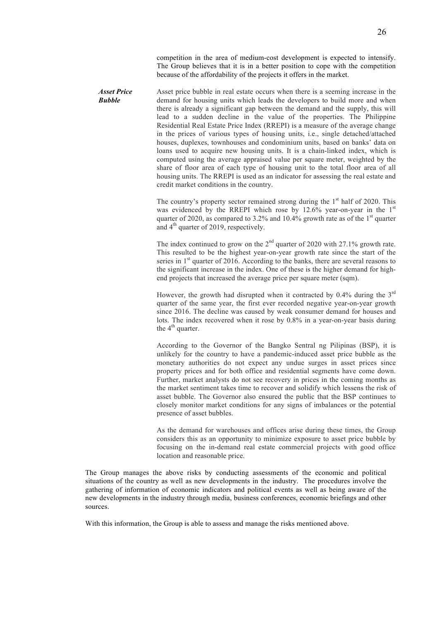competition in the area of medium-cost development is expected to intensify. The Group believes that it is in a better position to cope with the competition because of the affordability of the projects it offers in the market.

*Asset Price Bubble* Asset price bubble in real estate occurs when there is a seeming increase in the demand for housing units which leads the developers to build more and when there is already a significant gap between the demand and the supply, this will lead to a sudden decline in the value of the properties. The Philippine Residential Real Estate Price Index (RREPI) is a measure of the average change in the prices of various types of housing units, i.e., single detached/attached houses, duplexes, townhouses and condominium units, based on banks' data on loans used to acquire new housing units. It is a chain-linked index, which is computed using the average appraised value per square meter, weighted by the share of floor area of each type of housing unit to the total floor area of all housing units. The RREPI is used as an indicator for assessing the real estate and credit market conditions in the country.

> The country's property sector remained strong during the  $1<sup>st</sup>$  half of 2020. This was evidenced by the RREPI which rose by  $12.6\%$  year-on-year in the  $1<sup>st</sup>$ quarter of 2020, as compared to 3.2% and 10.4% growth rate as of the  $1<sup>st</sup>$  quarter and  $4<sup>th</sup>$  quarter of 2019, respectively.

> The index continued to grow on the  $2<sup>nd</sup>$  quarter of 2020 with 27.1% growth rate. This resulted to be the highest year-on-year growth rate since the start of the series in  $1<sup>st</sup>$  quarter of 2016. According to the banks, there are several reasons to the significant increase in the index. One of these is the higher demand for highend projects that increased the average price per square meter (sqm).

> However, the growth had disrupted when it contracted by  $0.4\%$  during the  $3<sup>rd</sup>$ quarter of the same year, the first ever recorded negative year-on-year growth since 2016. The decline was caused by weak consumer demand for houses and lots. The index recovered when it rose by 0.8% in a year-on-year basis during the  $4<sup>th</sup>$  quarter.

> According to the Governor of the Bangko Sentral ng Pilipinas (BSP), it is unlikely for the country to have a pandemic-induced asset price bubble as the monetary authorities do not expect any undue surges in asset prices since property prices and for both office and residential segments have come down. Further, market analysts do not see recovery in prices in the coming months as the market sentiment takes time to recover and solidify which lessens the risk of asset bubble. The Governor also ensured the public that the BSP continues to closely monitor market conditions for any signs of imbalances or the potential presence of asset bubbles.

> As the demand for warehouses and offices arise during these times, the Group considers this as an opportunity to minimize exposure to asset price bubble by focusing on the in-demand real estate commercial projects with good office location and reasonable price.

The Group manages the above risks by conducting assessments of the economic and political situations of the country as well as new developments in the industry. The procedures involve the gathering of information of economic indicators and political events as well as being aware of the new developments in the industry through media, business conferences, economic briefings and other sources.

With this information, the Group is able to assess and manage the risks mentioned above.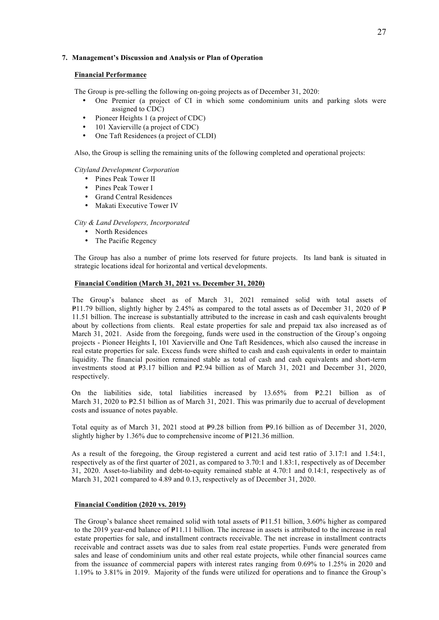# **7. Management's Discussion and Analysis or Plan of Operation**

#### **Financial Performance**

The Group is pre-selling the following on-going projects as of December 31, 2020:

- One Premier (a project of CI in which some condominium units and parking slots were assigned to CDC)
- Pioneer Heights 1 (a project of CDC)
- 101 Xavierville (a project of CDC)
- One Taft Residences (a project of CLDI)

Also, the Group is selling the remaining units of the following completed and operational projects:

#### *Cityland Development Corporation*

- Pines Peak Tower II
- Pines Peak Tower I
- Grand Central Residences
- Makati Executive Tower IV

#### *City & Land Developers, Incorporated*

- North Residences
- The Pacific Regency

The Group has also a number of prime lots reserved for future projects. Its land bank is situated in strategic locations ideal for horizontal and vertical developments.

# **Financial Condition (March 31, 2021 vs. December 31, 2020)**

The Group's balance sheet as of March 31, 2021 remained solid with total assets of  $\text{P11.79}$  billion, slightly higher by 2.45% as compared to the total assets as of December 31, 2020 of  $\text{P}$ 11.51 billion. The increase is substantially attributed to the increase in cash and cash equivalents brought about by collections from clients. Real estate properties for sale and prepaid tax also increased as of March 31, 2021. Aside from the foregoing, funds were used in the construction of the Group's ongoing projects - Pioneer Heights I, 101 Xavierville and One Taft Residences, which also caused the increase in real estate properties for sale. Excess funds were shifted to cash and cash equivalents in order to maintain liquidity. The financial position remained stable as total of cash and cash equivalents and short-term investments stood at  $\mathbb{P}3.17$  billion and  $\mathbb{P}2.94$  billion as of March 31, 2021 and December 31, 2020, respectively.

On the liabilities side, total liabilities increased by  $13.65\%$  from  $\text{F2.21}$  billion as of March 31, 2020 to  $\mathbb{P}2.51$  billion as of March 31, 2021. This was primarily due to accrual of development costs and issuance of notes payable.

Total equity as of March 31, 2021 stood at  $\overline{P}9.28$  billion from  $\overline{P}9.16$  billion as of December 31, 2020, slightly higher by  $1.36\%$  due to comprehensive income of  $\text{P121.36}$  million.

As a result of the foregoing, the Group registered a current and acid test ratio of 3.17:1 and 1.54:1, respectively as of the first quarter of 2021, as compared to 3.70:1 and 1.83:1, respectively as of December 31, 2020. Asset-to-liability and debt-to-equity remained stable at 4.70:1 and 0.14:1, respectively as of March 31, 2021 compared to 4.89 and 0.13, respectively as of December 31, 2020.

# **Financial Condition (2020 vs. 2019)**

The Group's balance sheet remained solid with total assets of P11.51 billion, 3.60% higher as compared to the 2019 year-end balance of  $P11.11$  billion. The increase in assets is attributed to the increase in real estate properties for sale, and installment contracts receivable. The net increase in installment contracts receivable and contract assets was due to sales from real estate properties. Funds were generated from sales and lease of condominium units and other real estate projects, while other financial sources came from the issuance of commercial papers with interest rates ranging from 0.69% to 1.25% in 2020 and 1.19% to 3.81% in 2019. Majority of the funds were utilized for operations and to finance the Group's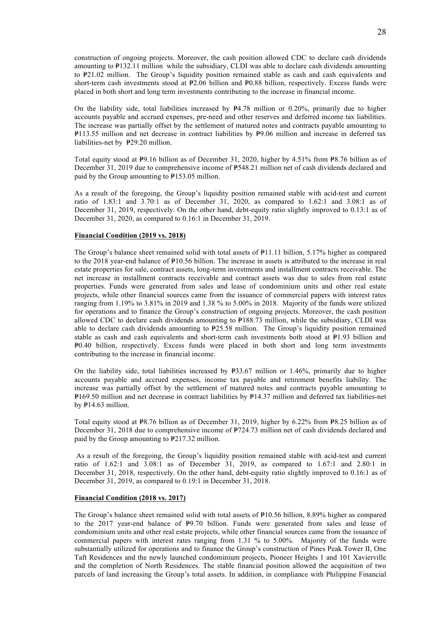construction of ongoing projects. Moreover, the cash position allowed CDC to declare cash dividends amounting to  $\mathbb{P}132.11$  million while the subsidiary, CLDI was able to declare cash dividends amounting to P21.02 million. The Group's liquidity position remained stable as cash and cash equivalents and short-term cash investments stood at  $\text{\texttt{P2.06}}$  billion and  $\text{\texttt{P0.88}}$  billion, respectively. Excess funds were placed in both short and long term investments contributing to the increase in financial income.

On the liability side, total liabilities increased by  $P4.78$  million or 0.20%, primarily due to higher accounts payable and accrued expenses, pre-need and other reserves and deferred income tax liabilities. The increase was partially offset by the settlement of matured notes and contracts payable amounting to =P113.55 million and net decrease in contract liabilities by =P9.06 million and increase in deferred tax liabilities-net by P29.20 million.

Total equity stood at  $\overline{P}9.16$  billion as of December 31, 2020, higher by 4.51% from  $\overline{P}8.76$  billion as of December 31, 2019 due to comprehensive income of P548.21 million net of cash dividends declared and paid by the Group amounting to  $P153.05$  million.

As a result of the foregoing, the Group's liquidity position remained stable with acid-test and current ratio of 1.83:1 and 3.70:1 as of December 31, 2020, as compared to 1.62:1 and 3.08:1 as of December 31, 2019, respectively. On the other hand, debt-equity ratio slightly improved to 0.13:1 as of December 31, 2020, as compared to 0.16:1 in December 31, 2019.

## **Financial Condition (2019 vs. 2018)**

The Group's balance sheet remained solid with total assets of  $P11.11$  billion, 5.17% higher as compared to the 2018 year-end balance of  $\text{P10.56}$  billion. The increase in assets is attributed to the increase in real estate properties for sale, contract assets, long-term investments and installment contracts receivable. The net increase in installment contracts receivable and contract assets was due to sales from real estate properties. Funds were generated from sales and lease of condominium units and other real estate projects, while other financial sources came from the issuance of commercial papers with interest rates ranging from 1.19% to 3.81% in 2019 and 1.38 % to 5.00% in 2018. Majority of the funds were utilized for operations and to finance the Group's construction of ongoing projects. Moreover, the cash position allowed CDC to declare cash dividends amounting to  $P188.73$  million, while the subsidiary, CLDI was able to declare cash dividends amounting to  $P25.58$  million. The Group's liquidity position remained stable as cash and cash equivalents and short-term cash investments both stood at  $\mathbb{P}1.93$  billion and =P0.40 billion, respectively. Excess funds were placed in both short and long term investments contributing to the increase in financial income.

On the liability side, total liabilities increased by  $\overline{P}33.67$  million or 1.46%, primarily due to higher accounts payable and accrued expenses, income tax payable and retirement benefits liability. The increase was partially offset by the settlement of matured notes and contracts payable amounting to =P169.50 million and net decrease in contract liabilities by =P14.37 million and deferred tax liabilities-net by  $P14.63$  million.

Total equity stood at  $\text{\sf P8.76}$  billion as of December 31, 2019, higher by 6.22% from  $\text{\sf P8.25}$  billion as of December 31, 2018 due to comprehensive income of  $P724.73$  million net of cash dividends declared and paid by the Group amounting to  $P217.32$  million.

As a result of the foregoing, the Group's liquidity position remained stable with acid-test and current ratio of  $1.62:1$  and  $3.08:1$  as of December  $31$ , 2019, as compared to  $1.67:1$  and  $2.80:1$  in December 31, 2018, respectively. On the other hand, debt-equity ratio slightly improved to 0.16:1 as of December 31, 2019, as compared to 0.19:1 in December 31, 2018.

#### **Financial Condition (2018 vs. 2017)**

The Group's balance sheet remained solid with total assets of  $\mathbb{P}10.56$  billion, 8.89% higher as compared to the  $2017$  year-end balance of  $\mathbb{P}9.70$  billion. Funds were generated from sales and lease of condominium units and other real estate projects, while other financial sources came from the issuance of commercial papers with interest rates ranging from 1.31 % to 5.00%. Majority of the funds were substantially utilized for operations and to finance the Group's construction of Pines Peak Tower II, One Taft Residences and the newly launched condominium projects, Pioneer Heights 1 and 101 Xavierville and the completion of North Residences. The stable financial position allowed the acquisition of two parcels of land increasing the Group's total assets. In addition, in compliance with Philippine Financial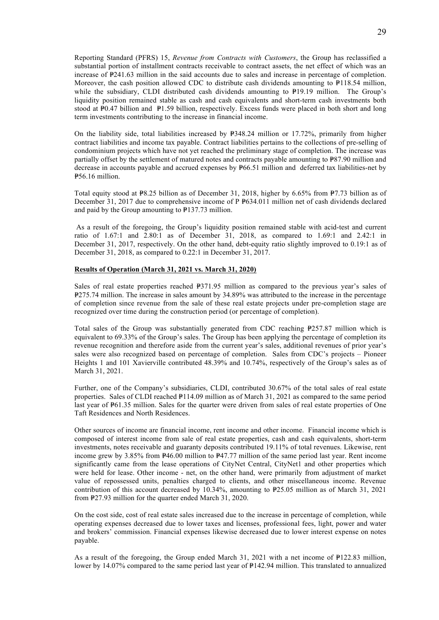Reporting Standard (PFRS) 15, *Revenue from Contracts with Customers*, the Group has reclassified a substantial portion of installment contracts receivable to contract assets, the net effect of which was an increase of  $P$ 241.63 million in the said accounts due to sales and increase in percentage of completion. Moreover, the cash position allowed CDC to distribute cash dividends amounting to  $P118.54$  million, while the subsidiary, CLDI distributed cash dividends amounting to  $\mathbb{P}19.19$  million. The Group's liquidity position remained stable as cash and cash equivalents and short-term cash investments both stood at  $\overline{P}0.47$  billion and  $\overline{P}1.59$  billion, respectively. Excess funds were placed in both short and long term investments contributing to the increase in financial income.

On the liability side, total liabilities increased by  $\overline{P}348.24$  million or 17.72%, primarily from higher contract liabilities and income tax payable. Contract liabilities pertains to the collections of pre-selling of condominium projects which have not yet reached the preliminary stage of completion. The increase was partially offset by the settlement of matured notes and contracts payable amounting to  $P87.90$  million and decrease in accounts payable and accrued expenses by  $\frac{1}{266}$ .51 million and deferred tax liabilities-net by =P56.16 million.

Total equity stood at  $\text{\texttt{P8.25}}$  billion as of December 31, 2018, higher by 6.65% from  $\text{\texttt{P7.73}}$  billion as of December 31, 2017 due to comprehensive income of P P634.011 million net of cash dividends declared and paid by the Group amounting to  $P137.73$  million.

As a result of the foregoing, the Group's liquidity position remained stable with acid-test and current ratio of 1.67:1 and 2.80:1 as of December 31, 2018, as compared to 1.69:1 and 2.42:1 in December 31, 2017, respectively. On the other hand, debt-equity ratio slightly improved to 0.19:1 as of December 31, 2018, as compared to 0.22:1 in December 31, 2017.

# **Results of Operation (March 31, 2021 vs. March 31, 2020)**

Sales of real estate properties reached  $-$ P371.95 million as compared to the previous year's sales of =P275.74 million. The increase in sales amount by 34.89% was attributed to the increase in the percentage of completion since revenue from the sale of these real estate projects under pre-completion stage are recognized over time during the construction period (or percentage of completion).

Total sales of the Group was substantially generated from CDC reaching  $P257.87$  million which is equivalent to 69.33% of the Group's sales. The Group has been applying the percentage of completion its revenue recognition and therefore aside from the current year's sales, additional revenues of prior year's sales were also recognized based on percentage of completion. Sales from CDC's projects – Pioneer Heights 1 and 101 Xavierville contributed 48.39% and 10.74%, respectively of the Group's sales as of March 31, 2021.

Further, one of the Company's subsidiaries, CLDI, contributed 30.67% of the total sales of real estate properties. Sales of CLDI reached  $P114.09$  million as of March 31, 2021 as compared to the same period last year of  $P61.35$  million. Sales for the quarter were driven from sales of real estate properties of One Taft Residences and North Residences.

Other sources of income are financial income, rent income and other income. Financial income which is composed of interest income from sale of real estate properties, cash and cash equivalents, short-term investments, notes receivable and guaranty deposits contributed 19.11% of total revenues. Likewise, rent income grew by  $3.85\%$  from  $\frac{p46.00}{p}$  million to  $\frac{p47.77}{p}$  million of the same period last year. Rent income significantly came from the lease operations of CityNet Central, CityNet1 and other properties which were held for lease. Other income - net, on the other hand, were primarily from adjustment of market value of repossessed units, penalties charged to clients, and other miscellaneous income. Revenue contribution of this account decreased by 10.34%, amounting to  $P25.05$  million as of March 31, 2021 from  $\frac{p}{27.93}$  million for the quarter ended March 31, 2020.

On the cost side, cost of real estate sales increased due to the increase in percentage of completion, while operating expenses decreased due to lower taxes and licenses, professional fees, light, power and water and brokers' commission. Financial expenses likewise decreased due to lower interest expense on notes payable.

As a result of the foregoing, the Group ended March 31, 2021 with a net income of  $P122.83$  million, lower by 14.07% compared to the same period last year of  $P142.94$  million. This translated to annualized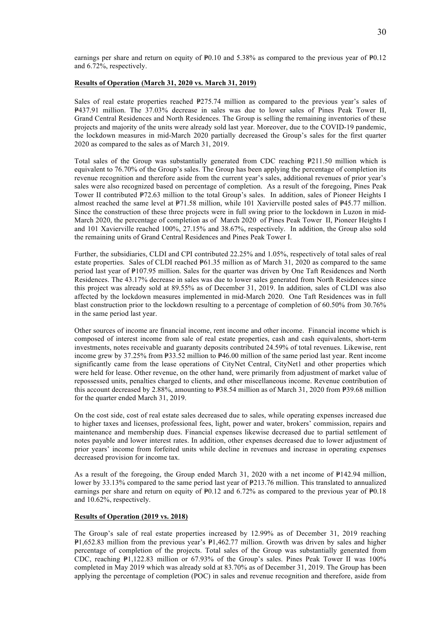earnings per share and return on equity of  $P<sub>0.10</sub>$  and 5.38% as compared to the previous year of  $P<sub>0.12</sub>$ and 6.72%, respectively.

## **Results of Operation (March 31, 2020 vs. March 31, 2019)**

Sales of real estate properties reached  $E275.74$  million as compared to the previous year's sales of =P437.91 million. The 37.03% decrease in sales was due to lower sales of Pines Peak Tower II, Grand Central Residences and North Residences. The Group is selling the remaining inventories of these projects and majority of the units were already sold last year. Moreover, due to the COVID-19 pandemic, the lockdown measures in mid-March 2020 partially decreased the Group's sales for the first quarter 2020 as compared to the sales as of March 31, 2019.

Total sales of the Group was substantially generated from CDC reaching  $\mathbb{P}211.50$  million which is equivalent to 76.70% of the Group's sales. The Group has been applying the percentage of completion its revenue recognition and therefore aside from the current year's sales, additional revenues of prior year's sales were also recognized based on percentage of completion. As a result of the foregoing, Pines Peak Tower II contributed  $P72.63$  million to the total Group's sales. In addition, sales of Pioneer Heights I almost reached the same level at  $\frac{P71.58 \text{ million}}{P11.58 \text{ million}}$ , while 101 Xavierville posted sales of  $\frac{P45.77 \text{ million}}{P11.58 \text{ million}}$ . Since the construction of these three projects were in full swing prior to the lockdown in Luzon in mid-March 2020, the percentage of completion as of March 2020 of Pines Peak Tower II, Pioneer Heights I and 101 Xavierville reached 100%, 27.15% and 38.67%, respectively. In addition, the Group also sold the remaining units of Grand Central Residences and Pines Peak Tower I.

Further, the subsidiaries, CLDI and CPI contributed 22.25% and 1.05%, respectively of total sales of real estate properties. Sales of CLDI reached  $\frac{p_{61.35}}{p_{10}}$  million as of March 31, 2020 as compared to the same period last year of  $\frac{p_{107}}{95}$  million. Sales for the quarter was driven by One Taft Residences and North Residences. The 43.17% decrease in sales was due to lower sales generated from North Residences since this project was already sold at 89.55% as of December 31, 2019. In addition, sales of CLDI was also affected by the lockdown measures implemented in mid-March 2020. One Taft Residences was in full blast construction prior to the lockdown resulting to a percentage of completion of 60.50% from 30.76% in the same period last year.

Other sources of income are financial income, rent income and other income. Financial income which is composed of interest income from sale of real estate properties, cash and cash equivalents, short-term investments, notes receivable and guaranty deposits contributed 24.59% of total revenues. Likewise, rent income grew by 37.25% from P33.52 million to P46.00 million of the same period last year. Rent income significantly came from the lease operations of CityNet Central, CityNet1 and other properties which were held for lease. Other revenue, on the other hand, were primarily from adjustment of market value of repossessed units, penalties charged to clients, and other miscellaneous income. Revenue contribution of this account decreased by 2.88%, amounting to  $\text{\textsterling}38.54$  million as of March 31, 2020 from  $\text{\textsterling}39.68$  million for the quarter ended March 31, 2019.

On the cost side, cost of real estate sales decreased due to sales, while operating expenses increased due to higher taxes and licenses, professional fees, light, power and water, brokers' commission, repairs and maintenance and membership dues. Financial expenses likewise decreased due to partial settlement of notes payable and lower interest rates. In addition, other expenses decreased due to lower adjustment of prior years' income from forfeited units while decline in revenues and increase in operating expenses decreased provision for income tax.

As a result of the foregoing, the Group ended March 31, 2020 with a net income of  $\mathbb{P}142.94$  million, lower by 33.13% compared to the same period last year of  $P213.76$  million. This translated to annualized earnings per share and return on equity of  $P0.12$  and 6.72% as compared to the previous year of  $P0.18$ and 10.62%, respectively.

#### **Results of Operation (2019 vs. 2018)**

The Group's sale of real estate properties increased by 12.99% as of December 31, 2019 reaching  $P1,652.83$  million from the previous year's  $P1,462.77$  million. Growth was driven by sales and higher percentage of completion of the projects. Total sales of the Group was substantially generated from CDC, reaching  $\mathbb{P}1,122.83$  million or 67.93% of the Group's sales. Pines Peak Tower II was 100% completed in May 2019 which was already sold at 83.70% as of December 31, 2019. The Group has been applying the percentage of completion (POC) in sales and revenue recognition and therefore, aside from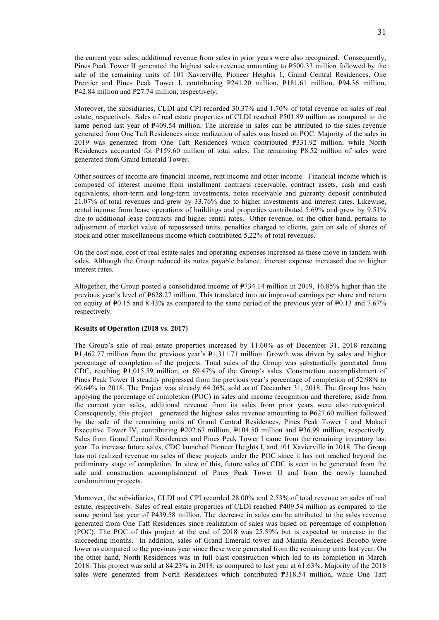the current year sales, additional revenue from sales in prior years were also recognized. Consequently, Pines Peak Tower II generated the highest sales revenue amounting to  $\frac{1}{2}500.33$  million followed by the sale of the remaining units of 101 Xavierville, Pioneer Heights 1, Grand Central Residences, One Premier and Pines Peak Tower I, contributing  $P241.20$  million,  $P181.61$  million,  $P94.36$  million, =P42.84 million and =P27.74 million, respectively.

Moreover, the subsidiaries, CLDI and CPI recorded 30.37% and 1.70% of total revenue on sales of real estate, respectively. Sales of real estate properties of CLDI reached P501.89 million as compared to the same period last year of  $P409.54$  million. The increase in sales can be attributed to the sales revenue generated from One Taft Residences since realization of sales was based on POC. Majority of the sales in 2019 was generated from One Taft Residences which contributed  $P331.92$  million, while North Residences accounted for  $P159.60$  million of total sales. The remaining  $P8.52$  million of sales were generated from Grand Emerald Tower.

Other sources of income are financial income, rent income and other income. Financial income which is composed of interest income from installment contracts receivable, contract assets, cash and cash equivalents, short-term and long-term investments, notes receivable and guaranty deposit contributed 21.07% of total revenues and grew by 33.76% due to higher investments and interest rates. Likewise, rental income from lease operations of buildings and properties contributed 5.69% and grew by 9.51% due to additional lease contracts and higher rental rates. Other revenue, on the other hand, pertains to adjustment of market value of repossessed units, penalties charged to clients, gain on sale of shares of stock and other miscellaneous income which contributed 5.22% of total revenues.

On the cost side, cost of real estate sales and operating expenses increased as these move in tandem with sales. Although the Group reduced its notes payable balance, interest expense increased due to higher interest rates.

Altogether, the Group posted a consolidated income of  $P734.14$  million in 2019, 16.85% higher than the previous year's level of  $\texttt{P628.27}$  million. This translated into an improved earnings per share and return on equity of  $\text{\texttt{P0.15}}$  and 8.43% as compared to the same period of the previous year of  $\text{\texttt{P0.13}}$  and 7.67% respectively.

#### **Results of Operation (2018 vs. 2017)**

The Group's sale of real estate properties increased by 11.60% as of December 31, 2018 reaching  $P1,462.77$  million from the previous year's  $P1,311.71$  million. Growth was driven by sales and higher percentage of completion of the projects. Total sales of the Group was substantially generated from CDC, reaching =P1,015.59 million, or 69.47% of the Group's sales. Construction accomplishment of Pines Peak Tower II steadily progressed from the previous year's percentage of completion of 52.98% to 90.64% in 2018. The Project was already 64.36% sold as of December 31, 2018. The Group has been applying the percentage of completion (POC) in sales and income recognition and therefore, aside from the current year sales, additional revenue from its sales from prior years were also recognized. Consequently, this project generated the highest sales revenue amounting to  $P627.60$  million followed by the sale of the remaining units of Grand Central Residences, Pines Peak Tower I and Makati Executive Tower IV, contributing  $P202.67$  million,  $P104.50$  million and  $P36.99$  million, respectively. Sales from Grand Central Residences and Pines Peak Tower I came from the remaining inventory last year. To increase future sales, CDC launched Pioneer Heights I, and 101 Xavierville in 2018. The Group has not realized revenue on sales of these projects under the POC since it has not reached beyond the preliminary stage of completion. In view of this, future sales of CDC is seen to be generated from the sale and construction accomplishment of Pines Peak Tower II and from the newly launched condominium projects.

Moreover, the subsidiaries, CLDI and CPI recorded 28.00% and 2.53% of total revenue on sales of real estate, respectively. Sales of real estate properties of CLDI reached  $\text{P409.54}$  million as compared to the same period last year of  $\texttt{P439.58}$  million. The decrease in sales can be attributed to the sales revenue generated from One Taft Residences since realization of sales was based on percentage of completion (POC). The POC of this project at the end of 2018 was 25.59% but is expected to increase in the succeeding months. In addition, sales of Grand Emerald tower and Manila Residences Bocobo were lower as compared to the previous year since these were generated from the remaining units last year. On the other hand, North Residences was in full blast construction which led to its completion in March 2018. This project was sold at 84.23% in 2018, as compared to last year at 61.63%. Majority of the 2018 sales were generated from North Residences which contributed ₱318.54 million, while One Taft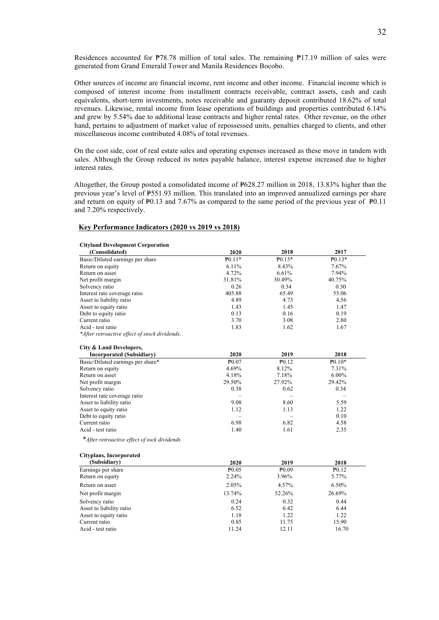Residences accounted for  $\mathbb{P}78.78$  million of total sales. The remaining  $\mathbb{P}17.19$  million of sales were generated from Grand Emerald Tower and Manila Residences Bocobo.

Other sources of income are financial income, rent income and other income. Financial income which is composed of interest income from installment contracts receivable, contract assets, cash and cash equivalents, short-term investments, notes receivable and guaranty deposit contributed 18.62% of total revenues. Likewise, rental income from lease operations of buildings and properties contributed 6.14% and grew by 5.54% due to additional lease contracts and higher rental rates. Other revenue, on the other hand, pertains to adjustment of market value of repossessed units, penalties charged to clients, and other miscellaneous income contributed 4.08% of total revenues.

On the cost side, cost of real estate sales and operating expenses increased as these move in tandem with sales. Although the Group reduced its notes payable balance, interest expense increased due to higher interest rates.

Altogether, the Group posted a consolidated income of  $P628.27$  million in 2018, 13.83% higher than the previous year's level of  $P551.93$  million. This translated into an improved annualized earnings per share and return on equity of  $\text{\textsterling}0.13$  and 7.67% as compared to the same period of the previous year of  $\text{\textsterling}0.11$ and 7.20% respectively.

#### **Key Performance Indicators (2020 vs 2019 vs 2018)**

| <b>Cityland Development Corporation</b>       |                   |                   |                   |
|-----------------------------------------------|-------------------|-------------------|-------------------|
| (Consolidated)                                | 2020              | 2018              | 2017              |
| Basic/Diluted earnings per share              | $P_{0.11*}$       | $P_{0.15*}$       | $P_{0.13*}$       |
| Return on equity                              | 6.11%             | 8.43%             | 7.67%             |
| Return on asset                               | 4.72%             | 6.61%             | 7.94%             |
| Net profit margin                             | 31.81%            | 30.49%            | 40.75%            |
| Solvency ratio                                | 0.26              | 0.34              | 0.30              |
| Interest rate coverage ratio                  | 405.88            | 65.49             | 55.06             |
| Asset to liability ratio                      | 4.89              | 4.73              | 4.56              |
| Asset to equity ratio                         | 1.43              | 1.45              | 1.47              |
| Debt to equity ratio                          | 0.13              | 0.16              | 0.19              |
| Current ratio                                 | 3.70              | 3.08              | 2.80              |
| Acid - test ratio                             | 1.83              | 1.62              | 1.67              |
| *After retroactive effect of stock dividends. |                   |                   |                   |
| City & Land Developers,                       |                   |                   |                   |
| <b>Incorporated (Subsidiary)</b>              | 2020              | 2019              | 2018              |
| Basic/Diluted earnings per share*             | $P_{0.07}$        | P <sub>0.12</sub> | $P_{0.10*}$       |
| Return on equity                              | 4.69%             | 8.12%             | 7.31%             |
| Return on asset                               | 4.18%             | 7.18%             | $6.00\%$          |
| Net profit margin                             | 29.50%            | 27.92%            | 29.42%            |
| Solvency ratio                                | 0.38              | 0.62              | 0.34              |
| Interest rate coverage ratio                  |                   |                   |                   |
| Asset to liability ratio                      | 9.08              | 8.60              | 5.59              |
| Asset to equity ratio                         | 1.12              | 1.13              | 1.22              |
| Debt to equity ratio                          |                   |                   | 0.10              |
| Current ratio                                 | 6.98              | 6.82              | 4.58              |
| Acid - test ratio                             | 1.40              | 1.61              | 2.35              |
| *After retroactive effect of tock dividends   |                   |                   |                   |
| <b>Cityplans, Incorporated</b>                |                   |                   |                   |
| (Subsidiary)                                  | 2020              | 2019              | 2018              |
| Earnings per share                            | P <sub>0.05</sub> | $P_{0.09}$        | P <sub>0.12</sub> |
| Return on equity                              | 2.24%             | 3.96%             | 5.77%             |
| Return on asset                               | 2.05%             | 4.57%             | 6.50%             |
| Net profit margin                             | 13.74%            | 52.26%            | 26.69%            |

Solvency ratio 0.24 0.32 0.44 Asset to liability ratio 6.52 6.42 6.44 Asset to equity ratio 1.18 1.22 1.22 1.22 1.23 Current ratio 20085 11.75 15.90 Acid - test ratio 11.24 12.11 16.70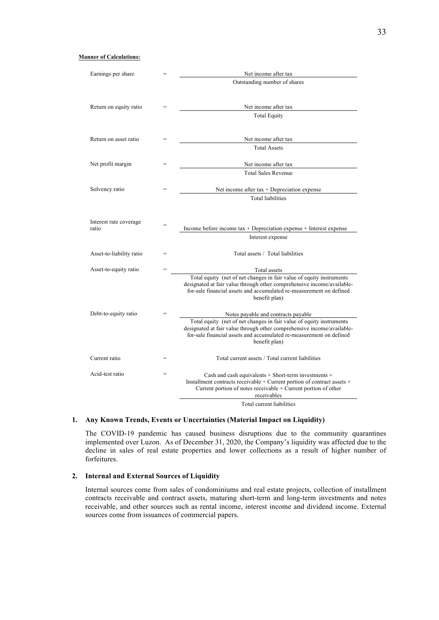| Earnings per share              |                                                      | Net income after tax                                                                                                                                                                                                                   |
|---------------------------------|------------------------------------------------------|----------------------------------------------------------------------------------------------------------------------------------------------------------------------------------------------------------------------------------------|
|                                 |                                                      | Outstanding number of shares                                                                                                                                                                                                           |
| Return on equity ratio          |                                                      | Net income after tax                                                                                                                                                                                                                   |
|                                 |                                                      | <b>Total Equity</b>                                                                                                                                                                                                                    |
| Return on asset ratio           |                                                      | Net income after tax                                                                                                                                                                                                                   |
|                                 |                                                      | <b>Total Assets</b>                                                                                                                                                                                                                    |
| Net profit margin               | $=$                                                  | Net income after tax                                                                                                                                                                                                                   |
|                                 |                                                      | <b>Total Sales Revenue</b>                                                                                                                                                                                                             |
| Solvency ratio                  | $=$<br>Net income after $tax + Depreciation$ expense |                                                                                                                                                                                                                                        |
|                                 |                                                      | <b>Total liabilities</b>                                                                                                                                                                                                               |
| Interest rate coverage<br>ratio | $=$                                                  | Income before income $tax + Depreciation$ expense $+$ Interest expense<br>Interest expense                                                                                                                                             |
| Asset-to-liability ratio        | =                                                    | Total assets / Total liabilities                                                                                                                                                                                                       |
| Asset-to-equity ratio           | $=$                                                  | Total assets                                                                                                                                                                                                                           |
|                                 |                                                      | Total equity (net of net changes in fair value of equity instruments<br>designated at fair value through other comprehensive income/available-<br>for-sale financial assets and accumulated re-measurement on defined<br>benefit plan) |
| Debt-to-equity ratio            |                                                      | Notes payable and contracts payable                                                                                                                                                                                                    |
|                                 |                                                      | Total equity (net of net changes in fair value of equity instruments<br>designated at fair value through other comprehensive income/available-<br>for-sale financial assets and accumulated re-measurement on defined<br>benefit plan) |
| Current ratio                   | =                                                    | Total current assets / Total current liabilities                                                                                                                                                                                       |
| Acid-test ratio                 | $=$                                                  | Cash and cash equivalents + Short-term investments +<br>Installment contracts receivable + Current portion of contract assets +<br>Current portion of notes receivable + Current portion of other<br>receivables                       |
|                                 |                                                      | Total current liabilities                                                                                                                                                                                                              |

# **1. Any Known Trends, Events or Uncertainties (Material Impact on Liquidity)**

The COVID-19 pandemic has caused business disruptions due to the community quarantines implemented over Luzon. As of December 31, 2020, the Company's liquidity was affected due to the decline in sales of real estate properties and lower collections as a result of higher number of forfeitures.

# **2. Internal and External Sources of Liquidity**

Internal sources come from sales of condominiums and real estate projects, collection of installment contracts receivable and contract assets, maturing short-term and long-term investments and notes receivable, and other sources such as rental income, interest income and dividend income. External sources come from issuances of commercial papers.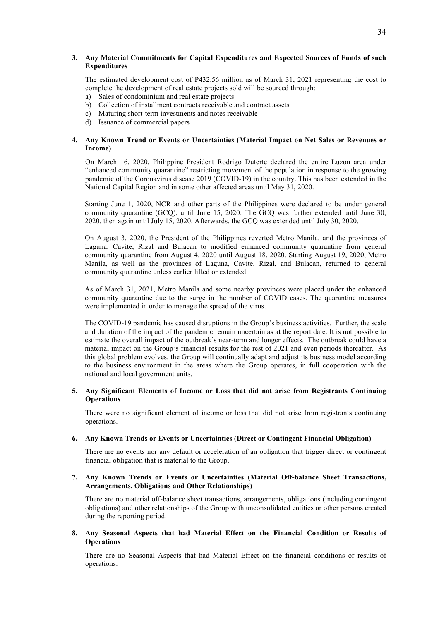# **3. Any Material Commitments for Capital Expenditures and Expected Sources of Funds of such Expenditures**

The estimated development cost of ₱432.56 million as of March 31, 2021 representing the cost to complete the development of real estate projects sold will be sourced through:

- a) Sales of condominium and real estate projects
- b) Collection of installment contracts receivable and contract assets
- c) Maturing short-term investments and notes receivable
- d) Issuance of commercial papers

# **4. Any Known Trend or Events or Uncertainties (Material Impact on Net Sales or Revenues or Income)**

On March 16, 2020, Philippine President Rodrigo Duterte declared the entire Luzon area under "enhanced community quarantine" restricting movement of the population in response to the growing pandemic of the Coronavirus disease 2019 (COVID-19) in the country. This has been extended in the National Capital Region and in some other affected areas until May 31, 2020.

Starting June 1, 2020, NCR and other parts of the Philippines were declared to be under general community quarantine (GCQ), until June 15, 2020. The GCQ was further extended until June 30, 2020, then again until July 15, 2020. Afterwards, the GCQ was extended until July 30, 2020.

On August 3, 2020, the President of the Philippines reverted Metro Manila, and the provinces of Laguna, Cavite, Rizal and Bulacan to modified enhanced community quarantine from general community quarantine from August 4, 2020 until August 18, 2020. Starting August 19, 2020, Metro Manila, as well as the provinces of Laguna, Cavite, Rizal, and Bulacan, returned to general community quarantine unless earlier lifted or extended.

As of March 31, 2021, Metro Manila and some nearby provinces were placed under the enhanced community quarantine due to the surge in the number of COVID cases. The quarantine measures were implemented in order to manage the spread of the virus.

The COVID-19 pandemic has caused disruptions in the Group's business activities. Further, the scale and duration of the impact of the pandemic remain uncertain as at the report date. It is not possible to estimate the overall impact of the outbreak's near-term and longer effects. The outbreak could have a material impact on the Group's financial results for the rest of 2021 and even periods thereafter. As this global problem evolves, the Group will continually adapt and adjust its business model according to the business environment in the areas where the Group operates, in full cooperation with the national and local government units.

# **5. Any Significant Elements of Income or Loss that did not arise from Registrants Continuing Operations**

There were no significant element of income or loss that did not arise from registrants continuing operations.

# **6. Any Known Trends or Events or Uncertainties (Direct or Contingent Financial Obligation)**

There are no events nor any default or acceleration of an obligation that trigger direct or contingent financial obligation that is material to the Group.

# **7. Any Known Trends or Events or Uncertainties (Material Off-balance Sheet Transactions, Arrangements, Obligations and Other Relationships)**

There are no material off-balance sheet transactions, arrangements, obligations (including contingent obligations) and other relationships of the Group with unconsolidated entities or other persons created during the reporting period.

## **8. Any Seasonal Aspects that had Material Effect on the Financial Condition or Results of Operations**

There are no Seasonal Aspects that had Material Effect on the financial conditions or results of operations.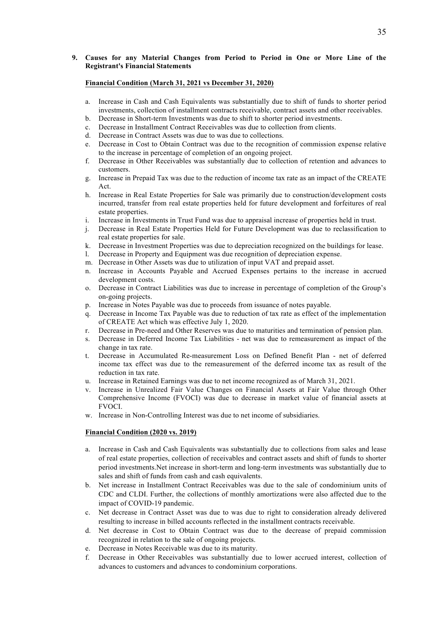# **9. Causes for any Material Changes from Period to Period in One or More Line of the Registrant's Financial Statements**

# **Financial Condition (March 31, 2021 vs December 31, 2020)**

- a. Increase in Cash and Cash Equivalents was substantially due to shift of funds to shorter period investments, collection of installment contracts receivable, contract assets and other receivables.
- b. Decrease in Short-term Investments was due to shift to shorter period investments.
- c. Decrease in Installment Contract Receivables was due to collection from clients.
- d. Decrease in Contract Assets was due to was due to collections.
- e. Decrease in Cost to Obtain Contract was due to the recognition of commission expense relative to the increase in percentage of completion of an ongoing project.
- f. Decrease in Other Receivables was substantially due to collection of retention and advances to customers.
- g. Increase in Prepaid Tax was due to the reduction of income tax rate as an impact of the CREATE Act.
- h. Increase in Real Estate Properties for Sale was primarily due to construction/development costs incurred, transfer from real estate properties held for future development and forfeitures of real estate properties.
- i. Increase in Investments in Trust Fund was due to appraisal increase of properties held in trust.
- j. Decrease in Real Estate Properties Held for Future Development was due to reclassification to real estate properties for sale.
- k. Decrease in Investment Properties was due to depreciation recognized on the buildings for lease.
- l. Decrease in Property and Equipment was due recognition of depreciation expense.
- m. Decrease in Other Assets was due to utilization of input VAT and prepaid asset.
- n. Increase in Accounts Payable and Accrued Expenses pertains to the increase in accrued development costs.
- o. Decrease in Contract Liabilities was due to increase in percentage of completion of the Group's on-going projects.
- p. Increase in Notes Payable was due to proceeds from issuance of notes payable.
- q. Decrease in Income Tax Payable was due to reduction of tax rate as effect of the implementation of CREATE Act which was effective July 1, 2020.
- r. Decrease in Pre-need and Other Reserves was due to maturities and termination of pension plan.
- s. Decrease in Deferred Income Tax Liabilities net was due to remeasurement as impact of the change in tax rate.
- t. Decrease in Accumulated Re-measurement Loss on Defined Benefit Plan net of deferred income tax effect was due to the remeasurement of the deferred income tax as result of the reduction in tax rate.
- u. Increase in Retained Earnings was due to net income recognized as of March 31, 2021.
- v. Increase in Unrealized Fair Value Changes on Financial Assets at Fair Value through Other Comprehensive Income (FVOCI) was due to decrease in market value of financial assets at FVOCI.
- w. Increase in Non-Controlling Interest was due to net income of subsidiaries.

# **Financial Condition (2020 vs. 2019)**

- a. Increase in Cash and Cash Equivalents was substantially due to collections from sales and lease of real estate properties, collection of receivables and contract assets and shift of funds to shorter period investments.Net increase in short-term and long-term investments was substantially due to sales and shift of funds from cash and cash equivalents.
- b. Net increase in Installment Contract Receivables was due to the sale of condominium units of CDC and CLDI. Further, the collections of monthly amortizations were also affected due to the impact of COVID-19 pandemic.
- c. Net decrease in Contract Asset was due to was due to right to consideration already delivered resulting to increase in billed accounts reflected in the installment contracts receivable.
- d. Net decrease in Cost to Obtain Contract was due to the decrease of prepaid commission recognized in relation to the sale of ongoing projects.
- e. Decrease in Notes Receivable was due to its maturity.
- f. Decrease in Other Receivables was substantially due to lower accrued interest, collection of advances to customers and advances to condominium corporations.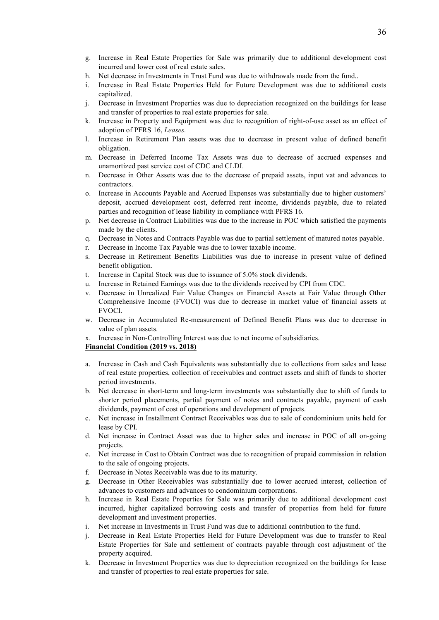36

- g. Increase in Real Estate Properties for Sale was primarily due to additional development cost incurred and lower cost of real estate sales.
- h. Net decrease in Investments in Trust Fund was due to withdrawals made from the fund..
- i. Increase in Real Estate Properties Held for Future Development was due to additional costs capitalized.
- j. Decrease in Investment Properties was due to depreciation recognized on the buildings for lease and transfer of properties to real estate properties for sale.
- k. Increase in Property and Equipment was due to recognition of right-of-use asset as an effect of adoption of PFRS 16, *Leases.*
- l. Increase in Retirement Plan assets was due to decrease in present value of defined benefit obligation.
- m. Decrease in Deferred Income Tax Assets was due to decrease of accrued expenses and unamortized past service cost of CDC and CLDI.
- n. Decrease in Other Assets was due to the decrease of prepaid assets, input vat and advances to contractors.
- o. Increase in Accounts Payable and Accrued Expenses was substantially due to higher customers' deposit, accrued development cost, deferred rent income, dividends payable, due to related parties and recognition of lease liability in compliance with PFRS 16.
- p. Net decrease in Contract Liabilities was due to the increase in POC which satisfied the payments made by the clients.
- q. Decrease in Notes and Contracts Payable was due to partial settlement of matured notes payable.
- r. Decrease in Income Tax Payable was due to lower taxable income.
- s. Decrease in Retirement Benefits Liabilities was due to increase in present value of defined benefit obligation.
- t. Increase in Capital Stock was due to issuance of 5.0% stock dividends.
- u. Increase in Retained Earnings was due to the dividends received by CPI from CDC.
- v. Decrease in Unrealized Fair Value Changes on Financial Assets at Fair Value through Other Comprehensive Income (FVOCI) was due to decrease in market value of financial assets at FVOCI.
- w. Decrease in Accumulated Re-measurement of Defined Benefit Plans was due to decrease in value of plan assets.
- x. Increase in Non-Controlling Interest was due to net income of subsidiaries.

# **Financial Condition (2019 vs. 2018)**

- a. Increase in Cash and Cash Equivalents was substantially due to collections from sales and lease of real estate properties, collection of receivables and contract assets and shift of funds to shorter period investments.
- b. Net decrease in short-term and long-term investments was substantially due to shift of funds to shorter period placements, partial payment of notes and contracts payable, payment of cash dividends, payment of cost of operations and development of projects.
- c. Net increase in Installment Contract Receivables was due to sale of condominium units held for lease by CPI.
- d. Net increase in Contract Asset was due to higher sales and increase in POC of all on-going projects.
- e. Net increase in Cost to Obtain Contract was due to recognition of prepaid commission in relation to the sale of ongoing projects.
- f. Decrease in Notes Receivable was due to its maturity.
- g. Decrease in Other Receivables was substantially due to lower accrued interest, collection of advances to customers and advances to condominium corporations.
- h. Increase in Real Estate Properties for Sale was primarily due to additional development cost incurred, higher capitalized borrowing costs and transfer of properties from held for future development and investment properties.
- i. Net increase in Investments in Trust Fund was due to additional contribution to the fund.
- j. Decrease in Real Estate Properties Held for Future Development was due to transfer to Real Estate Properties for Sale and settlement of contracts payable through cost adjustment of the property acquired.
- k. Decrease in Investment Properties was due to depreciation recognized on the buildings for lease and transfer of properties to real estate properties for sale.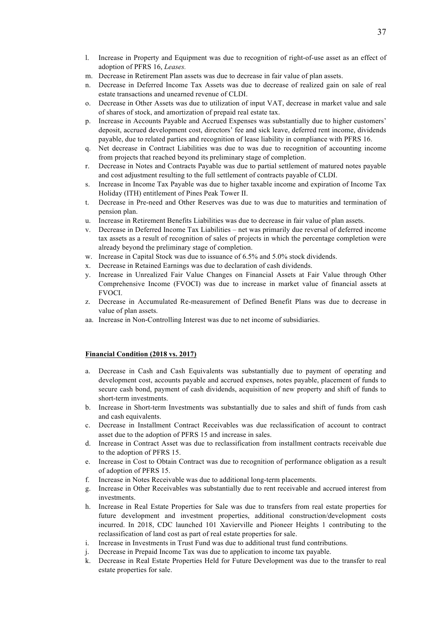- l. Increase in Property and Equipment was due to recognition of right-of-use asset as an effect of adoption of PFRS 16, *Leases.*
- m. Decrease in Retirement Plan assets was due to decrease in fair value of plan assets.
- n. Decrease in Deferred Income Tax Assets was due to decrease of realized gain on sale of real estate transactions and unearned revenue of CLDI.
- o. Decrease in Other Assets was due to utilization of input VAT, decrease in market value and sale of shares of stock, and amortization of prepaid real estate tax.
- p. Increase in Accounts Payable and Accrued Expenses was substantially due to higher customers' deposit, accrued development cost, directors' fee and sick leave, deferred rent income, dividends payable, due to related parties and recognition of lease liability in compliance with PFRS 16.
- q. Net decrease in Contract Liabilities was due to was due to recognition of accounting income from projects that reached beyond its preliminary stage of completion.
- r. Decrease in Notes and Contracts Payable was due to partial settlement of matured notes payable and cost adjustment resulting to the full settlement of contracts payable of CLDI.
- s. Increase in Income Tax Payable was due to higher taxable income and expiration of Income Tax Holiday (ITH) entitlement of Pines Peak Tower II.
- t. Decrease in Pre-need and Other Reserves was due to was due to maturities and termination of pension plan.
- u. Increase in Retirement Benefits Liabilities was due to decrease in fair value of plan assets.
- v. Decrease in Deferred Income Tax Liabilities net was primarily due reversal of deferred income tax assets as a result of recognition of sales of projects in which the percentage completion were already beyond the preliminary stage of completion.
- w. Increase in Capital Stock was due to issuance of 6.5% and 5.0% stock dividends.
- x. Decrease in Retained Earnings was due to declaration of cash dividends.
- y. Increase in Unrealized Fair Value Changes on Financial Assets at Fair Value through Other Comprehensive Income (FVOCI) was due to increase in market value of financial assets at FVOCI.
- z. Decrease in Accumulated Re-measurement of Defined Benefit Plans was due to decrease in value of plan assets.
- aa. Increase in Non-Controlling Interest was due to net income of subsidiaries.

#### **Financial Condition (2018 vs. 2017)**

- a. Decrease in Cash and Cash Equivalents was substantially due to payment of operating and development cost, accounts payable and accrued expenses, notes payable, placement of funds to secure cash bond, payment of cash dividends, acquisition of new property and shift of funds to short-term investments.
- b. Increase in Short-term Investments was substantially due to sales and shift of funds from cash and cash equivalents.
- c. Decrease in Installment Contract Receivables was due reclassification of account to contract asset due to the adoption of PFRS 15 and increase in sales.
- d. Increase in Contract Asset was due to reclassification from installment contracts receivable due to the adoption of PFRS 15.
- e. Increase in Cost to Obtain Contract was due to recognition of performance obligation as a result of adoption of PFRS 15.
- f. Increase in Notes Receivable was due to additional long-term placements.
- g. Increase in Other Receivables was substantially due to rent receivable and accrued interest from investments.
- h. Increase in Real Estate Properties for Sale was due to transfers from real estate properties for future development and investment properties, additional construction/development costs incurred. In 2018, CDC launched 101 Xavierville and Pioneer Heights 1 contributing to the reclassification of land cost as part of real estate properties for sale.
- i. Increase in Investments in Trust Fund was due to additional trust fund contributions.
- j. Decrease in Prepaid Income Tax was due to application to income tax payable.
- k. Decrease in Real Estate Properties Held for Future Development was due to the transfer to real estate properties for sale.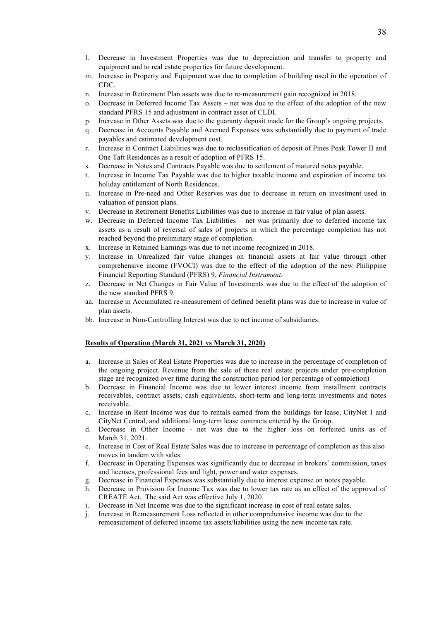- l. Decrease in Investment Properties was due to depreciation and transfer to property and equipment and to real estate properties for future development.
- m. Increase in Property and Equipment was due to completion of building used in the operation of CDC.
- n. Increase in Retirement Plan assets was due to re-measurement gain recognized in 2018.
- o. Decrease in Deferred Income Tax Assets net was due to the effect of the adoption of the new standard PFRS 15 and adjustment in contract asset of CLDI.
- p. Increase in Other Assets was due to the guaranty deposit made for the Group's ongoing projects.
- q. Decrease in Accounts Payable and Accrued Expenses was substantially due to payment of trade payables and estimated development cost.
- r. Increase in Contract Liabilities was due to reclassification of deposit of Pines Peak Tower II and One Taft Residences as a result of adoption of PFRS 15.
- s. Decrease in Notes and Contracts Payable was due to settlement of matured notes payable.
- t. Increase in Income Tax Payable was due to higher taxable income and expiration of income tax holiday entitlement of North Residences.
- u. Increase in Pre-need and Other Reserves was due to decrease in return on investment used in valuation of pension plans.
- v. Decrease in Retirement Benefits Liabilities was due to increase in fair value of plan assets.
- w. Decrease in Deferred Income Tax Liabilities net was primarily due to deferred income tax assets as a result of reversal of sales of projects in which the percentage completion has not reached beyond the preliminary stage of completion.
- x. Increase in Retained Earnings was due to net income recognized in 2018.
- y. Increase in Unrealized fair value changes on financial assets at fair value through other comprehensive income (FVOCI) was due to the effect of the adoption of the new Philippine Financial Reporting Standard (PFRS) 9, *Financial Instrument.*
- z. Decrease in Net Changes in Fair Value of Investments was due to the effect of the adoption of the new standard PFRS 9.
- aa. Increase in Accumulated re-measurement of defined benefit plans was due to increase in value of plan assets.
- bb. Increase in Non-Controlling Interest was due to net income of subsidiaries.

#### **Results of Operation (March 31, 2021 vs March 31, 2020)**

- a. Increase in Sales of Real Estate Properties was due to increase in the percentage of completion of the ongoing project. Revenue from the sale of these real estate projects under pre-completion stage are recognized over time during the construction period (or percentage of completion)
- b. Decrease in Financial Income was due to lower interest income from installment contracts receivables, contract assets, cash equivalents, short-term and long-term investments and notes receivable.
- c. Increase in Rent Income was due to rentals earned from the buildings for lease, CityNet 1 and CityNet Central, and additional long-term lease contracts entered by the Group.
- d. Decrease in Other Income net was due to the higher loss on forfeited units as of March 31, 2021.
- e. Increase in Cost of Real Estate Sales was due to increase in percentage of completion as this also moves in tandem with sales.
- f. Decrease in Operating Expenses was significantly due to decrease in brokers' commission, taxes and licenses, professional fees and light, power and water expenses.
- g. Decrease in Financial Expenses was substantially due to interest expense on notes payable.
- h. Decrease in Provision for Income Tax was due to lower tax rate as an effect of the approval of CREATE Act. The said Act was effective July 1, 2020.
- i. Decrease in Net Income was due to the significant increase in cost of real estate sales.
- j. Increase in Remeasurement Loss reflected in other comprehensive income was due to the remeasurement of deferred income tax assets/liabilities using the new income tax rate.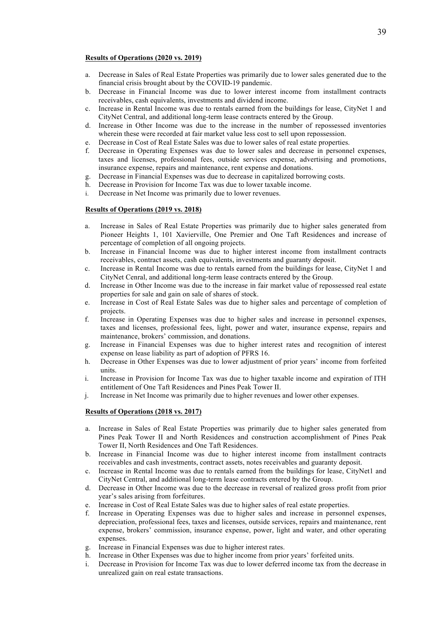#### **Results of Operations (2020 vs. 2019)**

- a. Decrease in Sales of Real Estate Properties was primarily due to lower sales generated due to the financial crisis brought about by the COVID-19 pandemic.
- b. Decrease in Financial Income was due to lower interest income from installment contracts receivables, cash equivalents, investments and dividend income.
- c. Increase in Rental Income was due to rentals earned from the buildings for lease, CityNet 1 and CityNet Central, and additional long-term lease contracts entered by the Group.
- d. Increase in Other Income was due to the increase in the number of repossessed inventories wherein these were recorded at fair market value less cost to sell upon repossession.
- e. Decrease in Cost of Real Estate Sales was due to lower sales of real estate properties.
- f. Decrease in Operating Expenses was due to lower sales and decrease in personnel expenses, taxes and licenses, professional fees, outside services expense, advertising and promotions, insurance expense, repairs and maintenance, rent expense and donations.
- g. Decrease in Financial Expenses was due to decrease in capitalized borrowing costs.
- h. Decrease in Provision for Income Tax was due to lower taxable income.
- i. Decrease in Net Income was primarily due to lower revenues.

# **Results of Operations (2019 vs. 2018)**

- a. Increase in Sales of Real Estate Properties was primarily due to higher sales generated from Pioneer Heights 1, 101 Xavierville, One Premier and One Taft Residences and increase of percentage of completion of all ongoing projects.
- b. Increase in Financial Income was due to higher interest income from installment contracts receivables, contract assets, cash equivalents, investments and guaranty deposit.
- c. Increase in Rental Income was due to rentals earned from the buildings for lease, CityNet 1 and CityNet Cenral, and additional long-term lease contracts entered by the Group.
- d. Increase in Other Income was due to the increase in fair market value of repossessed real estate properties for sale and gain on sale of shares of stock.
- e. Increase in Cost of Real Estate Sales was due to higher sales and percentage of completion of projects.
- f. Increase in Operating Expenses was due to higher sales and increase in personnel expenses, taxes and licenses, professional fees, light, power and water, insurance expense, repairs and maintenance, brokers' commission, and donations.
- g. Increase in Financial Expenses was due to higher interest rates and recognition of interest expense on lease liability as part of adoption of PFRS 16.
- h. Decrease in Other Expenses was due to lower adjustment of prior years' income from forfeited units.
- i. Increase in Provision for Income Tax was due to higher taxable income and expiration of ITH entitlement of One Taft Residences and Pines Peak Tower II.
- j. Increase in Net Income was primarily due to higher revenues and lower other expenses.

#### **Results of Operations (2018 vs. 2017)**

- a. Increase in Sales of Real Estate Properties was primarily due to higher sales generated from Pines Peak Tower II and North Residences and construction accomplishment of Pines Peak Tower II, North Residences and One Taft Residences.
- b. Increase in Financial Income was due to higher interest income from installment contracts receivables and cash investments, contract assets, notes receivables and guaranty deposit.
- c. Increase in Rental Income was due to rentals earned from the buildings for lease, CityNet1 and CityNet Central, and additional long-term lease contracts entered by the Group.
- d. Decrease in Other Income was due to the decrease in reversal of realized gross profit from prior year's sales arising from forfeitures.
- e. Increase in Cost of Real Estate Sales was due to higher sales of real estate properties.
- f. Increase in Operating Expenses was due to higher sales and increase in personnel expenses, depreciation, professional fees, taxes and licenses, outside services, repairs and maintenance, rent expense, brokers' commission, insurance expense, power, light and water, and other operating expenses.
- g. Increase in Financial Expenses was due to higher interest rates.
- h. Increase in Other Expenses was due to higher income from prior years' forfeited units.
- i. Decrease in Provision for Income Tax was due to lower deferred income tax from the decrease in unrealized gain on real estate transactions.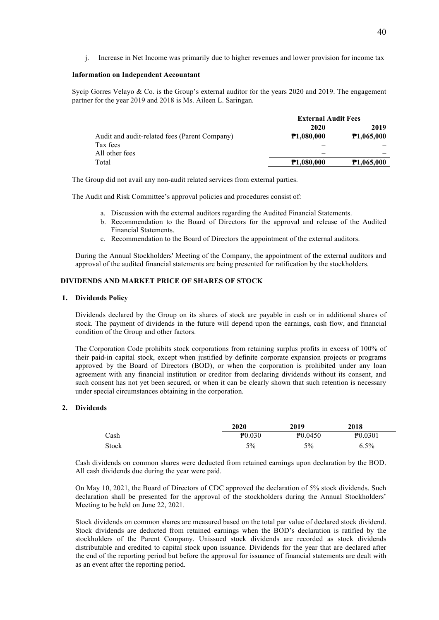j. Increase in Net Income was primarily due to higher revenues and lower provision for income tax

### **Information on Independent Accountant**

Sycip Gorres Velayo & Co. is the Group's external auditor for the years 2020 and 2019. The engagement partner for the year 2019 and 2018 is Ms. Aileen L. Saringan.

|                                               | <b>External Audit Fees</b> |                   |
|-----------------------------------------------|----------------------------|-------------------|
|                                               | 2020                       | 2019              |
| Audit and audit-related fees (Parent Company) | <b>P1,080,000</b>          | <b>P1,065,000</b> |
| Tax fees                                      |                            |                   |
| All other fees                                |                            |                   |
| Total                                         | <b>P1,080,000</b>          | <b>P1,065,000</b> |

The Group did not avail any non-audit related services from external parties.

The Audit and Risk Committee's approval policies and procedures consist of:

- a. Discussion with the external auditors regarding the Audited Financial Statements.
- b. Recommendation to the Board of Directors for the approval and release of the Audited Financial Statements.
- c. Recommendation to the Board of Directors the appointment of the external auditors.

During the Annual Stockholders' Meeting of the Company, the appointment of the external auditors and approval of the audited financial statements are being presented for ratification by the stockholders.

# **DIVIDENDS AND MARKET PRICE OF SHARES OF STOCK**

#### **1. Dividends Policy**

Dividends declared by the Group on its shares of stock are payable in cash or in additional shares of stock. The payment of dividends in the future will depend upon the earnings, cash flow, and financial condition of the Group and other factors.

The Corporation Code prohibits stock corporations from retaining surplus profits in excess of 100% of their paid-in capital stock, except when justified by definite corporate expansion projects or programs approved by the Board of Directors (BOD), or when the corporation is prohibited under any loan agreement with any financial institution or creditor from declaring dividends without its consent, and such consent has not yet been secured, or when it can be clearly shown that such retention is necessary under special circumstances obtaining in the corporation.

# **2. Dividends**

|              | 2020        | 2019         | 2018                |
|--------------|-------------|--------------|---------------------|
| Cash         | $P_{0.030}$ | $P_{0.0450}$ | P <sub>0.0301</sub> |
| <b>Stock</b> | 5%          | 5%           | $6.5\%$             |

Cash dividends on common shares were deducted from retained earnings upon declaration by the BOD. All cash dividends due during the year were paid.

On May 10, 2021, the Board of Directors of CDC approved the declaration of 5% stock dividends. Such declaration shall be presented for the approval of the stockholders during the Annual Stockholders' Meeting to be held on June 22, 2021.

Stock dividends on common shares are measured based on the total par value of declared stock dividend. Stock dividends are deducted from retained earnings when the BOD's declaration is ratified by the stockholders of the Parent Company. Unissued stock dividends are recorded as stock dividends distributable and credited to capital stock upon issuance. Dividends for the year that are declared after the end of the reporting period but before the approval for issuance of financial statements are dealt with as an event after the reporting period.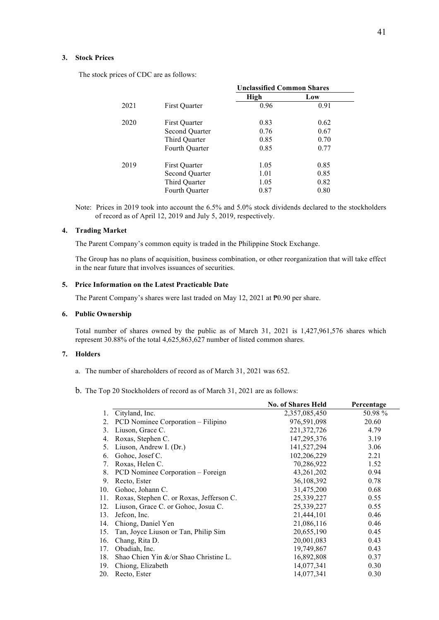## **3. Stock Prices**

The stock prices of CDC are as follows:

|      |                | <b>Unclassified Common Shares</b> |      |  |
|------|----------------|-----------------------------------|------|--|
|      |                | High                              | Low  |  |
| 2021 | First Quarter  | 0.96                              | 0.91 |  |
| 2020 | First Ouarter  | 0.83                              | 0.62 |  |
|      | Second Quarter | 0.76                              | 0.67 |  |
|      | Third Quarter  | 0.85                              | 0.70 |  |
|      | Fourth Quarter | 0.85                              | 0.77 |  |
| 2019 | First Quarter  | 1.05                              | 0.85 |  |
|      | Second Quarter | 1.01                              | 0.85 |  |
|      | Third Quarter  | 1.05                              | 0.82 |  |
|      | Fourth Quarter | 0.87                              | 0.80 |  |

Note: Prices in 2019 took into account the 6.5% and 5.0% stock dividends declared to the stockholders of record as of April 12, 2019 and July 5, 2019, respectively.

# **4. Trading Market**

The Parent Company's common equity is traded in the Philippine Stock Exchange.

The Group has no plans of acquisition, business combination, or other reorganization that will take effect in the near future that involves issuances of securities.

#### **5. Price Information on the Latest Practicable Date**

The Parent Company's shares were last traded on May 12, 2021 at  $P0.90$  per share.

#### **6. Public Ownership**

Total number of shares owned by the public as of March 31, 2021 is 1,427,961,576 shares which represent 30.88% of the total 4,625,863,627 number of listed common shares.

# **7. Holders**

- a. The number of shareholders of record as of March 31, 2021 was 652.
- b. The Top 20 Stockholders of record as of March 31, 2021 are as follows:

|     |                                          | <b>No. of Shares Held</b> | Percentage |
|-----|------------------------------------------|---------------------------|------------|
|     | Cityland, Inc.                           | 2,357,085,450             | 50.98 %    |
| 2.  | PCD Nominee Corporation – Filipino       | 976,591,098               | 20.60      |
| 3.  | Liuson, Grace C.                         | 221, 372, 726             | 4.79       |
| 4.  | Roxas, Stephen C.                        | 147, 295, 376             | 3.19       |
| 5.  | Liuson, Andrew I. (Dr.)                  | 141,527,294               | 3.06       |
| 6.  | Gohoc, Josef C.                          | 102,206,229               | 2.21       |
| 7.  | Roxas, Helen C.                          | 70,286,922                | 1.52       |
| 8.  | PCD Nominee Corporation – Foreign        | 43, 261, 202              | 0.94       |
| 9.  | Recto, Ester                             | 36,108,392                | 0.78       |
| 10. | Gohoc, Johann C.                         | 31,475,200                | 0.68       |
| 11. | Roxas, Stephen C. or Roxas, Jefferson C. | 25,339,227                | 0.55       |
| 12. | Liuson, Grace C. or Gohoc, Josua C.      | 25,339,227                | 0.55       |
| 13. | Jefcon, Inc.                             | 21,444,101                | 0.46       |
| 14. | Chiong, Daniel Yen                       | 21,086,116                | 0.46       |
| 15. | Tan, Joyce Liuson or Tan, Philip Sim     | 20,655,190                | 0.45       |
| 16. | Chang, Rita D.                           | 20,001,083                | 0.43       |
| 17. | Obadiah, Inc.                            | 19,749,867                | 0.43       |
| 18. | Shao Chien Yin &/or Shao Christine L.    | 16,892,808                | 0.37       |
| 19. | Chiong, Elizabeth                        | 14,077,341                | 0.30       |
| 20. | Recto, Ester                             | 14,077,341                | 0.30       |